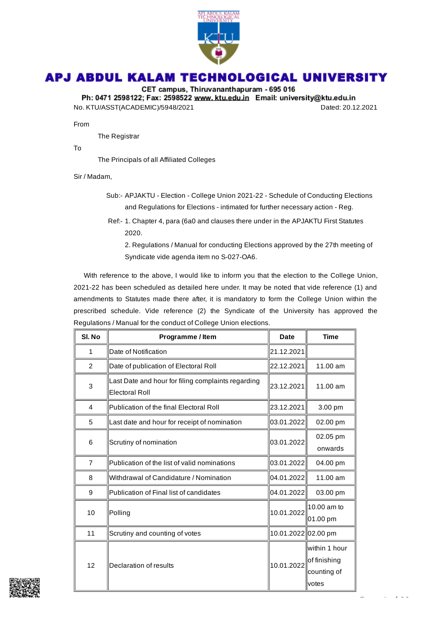

# APJ ABDUL KALAM TECHNOLOGICAL UNIVERSITY

CET campus, Thiruvananthapuram - 695 016

Ph: 0471 2598122; Fax: 2598522 www.ktu.edu.in Email: university@ktu.edu.in

No. KTU/ASST(ACADEMIC)/5948/2021 Dated: 20.12.2021

Page 1 of 66

From

The Registrar

To

The Principals of all Affiliated Colleges

Sir / Madam,

- Sub:- APJAKTU Election College Union 2021-22 Schedule of Conducting Elections and Regulations for Elections - intimated for further necessary action - Reg.
- Ref:- 1. Chapter 4, para (6a0 and clauses there under in the APJAKTU First Statutes 2020.

2. Regulations / Manual for conducting Elections approved by the 27th meeting of Syndicate vide agenda item no S-027-OA6.

With reference to the above, I would like to inform you that the election to the College Union, 2021-22 has been scheduled as detailed here under. It may be noted that vide reference (1) and amendments to Statutes made there after, it is mandatory to form the College Union within the prescribed schedule. Vide reference (2) the Syndicate of the University has approved the Regulations / Manual for the conduct of College Union elections.

| Sl. No | Programme / Item                                                            | Date                 | <b>Time</b>                                            |  |
|--------|-----------------------------------------------------------------------------|----------------------|--------------------------------------------------------|--|
| 1      | Date of Notification                                                        | 21.12.2021           |                                                        |  |
| 2      | Date of publication of Electoral Roll                                       | 22.12.2021           | 11.00 am                                               |  |
| 3      | Last Date and hour for filing complaints regarding<br><b>Electoral Roll</b> | 23.12.2021           | 11.00 am                                               |  |
| 4      | Publication of the final Electoral Roll                                     | 23.12.2021           | 3.00 pm                                                |  |
| 5      | Last date and hour for receipt of nomination                                | 03.01.2022           | 02.00 pm                                               |  |
| 6      | Scrutiny of nomination                                                      | 03.01.2022           | 02.05 pm<br>onwards                                    |  |
| 7      | Publication of the list of valid nominations                                | 03.01.2022           | 04.00 pm                                               |  |
| 8      | Withdrawal of Candidature / Nomination                                      | 04.01.2022           | 11.00 am                                               |  |
| 9      | Publication of Final list of candidates                                     | 04.01.2022           | 03.00 pm                                               |  |
| 10     | Polling                                                                     | 10.01.2022           | 10.00 am to<br>01.00 pm                                |  |
| 11     | Scrutiny and counting of votes                                              | 10.01.2022  02.00 pm |                                                        |  |
| 12     | <b>Declaration of results</b>                                               | 10.01.2022           | within 1 hour<br>of finishing<br>counting of<br>lvotes |  |

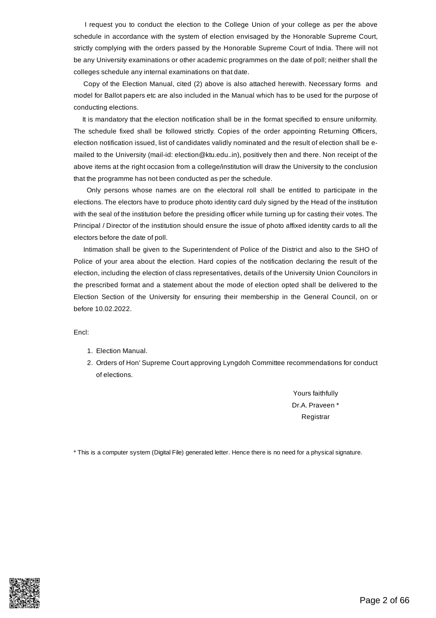I request you to conduct the election to the College Union of your college as per the above schedule in accordance with the system of election envisaged by the Honorable Supreme Court, strictly complying with the orders passed by the Honorable Supreme Court of India. There will not be any University examinations or other academic programmes on the date of poll; neither shall the colleges schedule any internal examinations on that date.

Copy of the Election Manual, cited (2) above is also attached herewith. Necessary forms and model for Ballot papers etc are also included in the Manual which has to be used for the purpose of conducting elections.

It is mandatory that the election notification shall be in the format specified to ensure uniformity. The schedule fixed shall be followed strictly. Copies of the order appointing Returning Officers, election notification issued, list of candidates validly nominated and the result of election shall be emailed to the University (mail-id: election@ktu.edu..in), positively then and there. Non receipt of the above items at the right occasion from a college/institution will draw the University to the conclusion that the programme has not been conducted as per the schedule.

Only persons whose names are on the electoral roll shall be entitled to participate in the elections. The electors have to produce photo identity card duly signed by the Head of the institution with the seal of the institution before the presiding officer while turning up for casting their votes. The Principal / Director of the institution should ensure the issue of photo affixed identity cards to all the electors before the date of poll.

Intimation shall be given to the Superintendent of Police of the District and also to the SHO of Police of your area about the election. Hard copies of the notification declaring the result of the election, including the election of class representatives, details of the University Union Councilors in the prescribed format and a statement about the mode of election opted shall be delivered to the Election Section of the University for ensuring their membership in the General Council, on or before 10.02.2022.

Encl:

- 1. Election Manual.
- 2. Orders of Hon' Supreme Court approving Lyngdoh Committee recommendations for conduct of elections.

Yours faithfully Dr.A. Praveen \* **Registrar** 

\* This is a computer system (Digital File) generated letter. Hence there is no need for a physical signature.

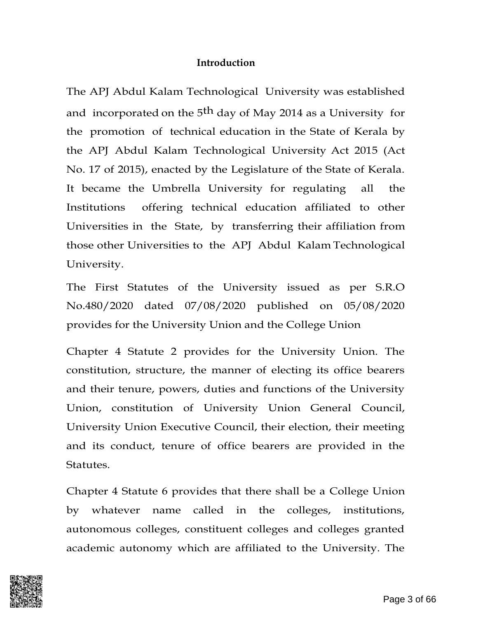#### **Introduction**

The APJ Abdul Kalam Technological University was established and incorporated on the 5<sup>th</sup> day of May 2014 as a University for the promotion of technical education in the State of Kerala by the APJ Abdul Kalam Technological University Act 2015 (Act No. 17 of 2015), enacted by the Legislature of the State of Kerala. It became the Umbrella University for regulating all the Institutions offering technical education affiliated to other Universities in the State, by transferring their affiliation from those other Universities to the APJ Abdul Kalam Technological University.

The First Statutes of the University issued as per S.R.O No.480/2020 dated 07/08/2020 published on 05/08/2020 provides for the University Union and the College Union

Chapter 4 Statute 2 provides for the University Union. The constitution, structure, the manner of electing its office bearers and their tenure, powers, duties and functions of the University Union, constitution of University Union General Council, University Union Executive Council, their election, their meeting and its conduct, tenure of office bearers are provided in the Statutes.

Chapter 4 Statute 6 provides that there shall be a College Union by whatever name called in the colleges, institutions, autonomous colleges, constituent colleges and colleges granted academic autonomy which are affiliated to the University. The

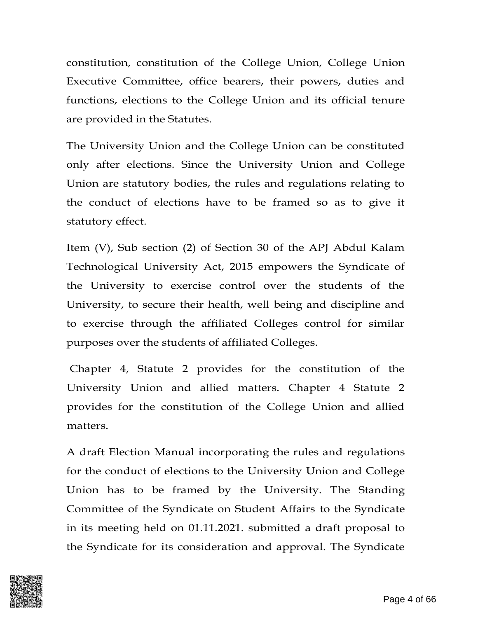constitution, constitution of the College Union, College Union Executive Committee, office bearers, their powers, duties and functions, elections to the College Union and its official tenure are provided in the Statutes.

The University Union and the College Union can be constituted only after elections. Since the University Union and College Union are statutory bodies, the rules and regulations relating to the conduct of elections have to be framed so as to give it statutory effect.

Item (V), Sub section (2) of Section 30 of the APJ Abdul Kalam Technological University Act, 2015 empowers the Syndicate of the University to exercise control over the students of the University, to secure their health, well being and discipline and to exercise through the affiliated Colleges control for similar purposes over the students of affiliated Colleges.

Chapter 4, Statute 2 provides for the constitution of the University Union and allied matters. Chapter 4 Statute 2 provides for the constitution of the College Union and allied matters.

A draft Election Manual incorporating the rules and regulations for the conduct of elections to the University Union and College Union has to be framed by the University. The Standing Committee of the Syndicate on Student Affairs to the Syndicate in its meeting held on 01.11.2021. submitted a draft proposal to the Syndicate for its consideration and approval. The Syndicate

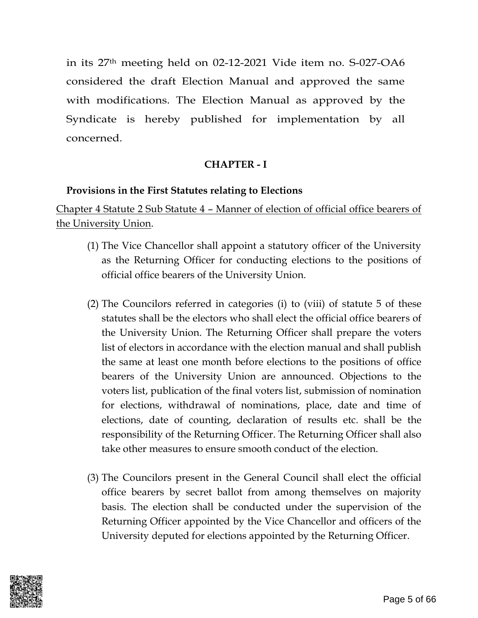in its 27th meeting held on 02-12-2021 Vide item no. S-027-OA6 considered the draft Election Manual and approved the same with modifications. The Election Manual as approved by the Syndicate is hereby published for implementation by all concerned.

#### **CHAPTER - I**

#### **Provisions in the First Statutes relating to Elections**

Chapter 4 Statute 2 Sub Statute 4 – Manner of election of official office bearers of the University Union.

- (1) The Vice Chancellor shall appoint a statutory officer of the University as the Returning Officer for conducting elections to the positions of official office bearers of the University Union.
- (2) The Councilors referred in categories (i) to (viii) of statute 5 of these statutes shall be the electors who shall elect the official office bearers of the University Union. The Returning Officer shall prepare the voters list of electors in accordance with the election manual and shall publish the same at least one month before elections to the positions of office bearers of the University Union are announced. Objections to the voters list, publication of the final voters list, submission of nomination for elections, withdrawal of nominations, place, date and time of elections, date of counting, declaration of results etc. shall be the responsibility of the Returning Officer. The Returning Officer shall also take other measures to ensure smooth conduct of the election.
- (3) The Councilors present in the General Council shall elect the official office bearers by secret ballot from among themselves on majority basis. The election shall be conducted under the supervision of the Returning Officer appointed by the Vice Chancellor and officers of the University deputed for elections appointed by the Returning Officer.

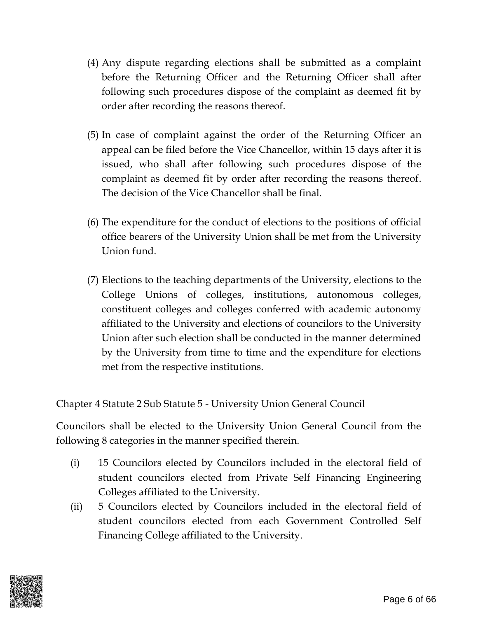- (4) Any dispute regarding elections shall be submitted as a complaint before the Returning Officer and the Returning Officer shall after following such procedures dispose of the complaint as deemed fit by order after recording the reasons thereof.
- (5) In case of complaint against the order of the Returning Officer an appeal can be filed before the Vice Chancellor, within 15 days after it is issued, who shall after following such procedures dispose of the complaint as deemed fit by order after recording the reasons thereof. The decision of the Vice Chancellor shall be final.
- (6) The expenditure for the conduct of elections to the positions of official office bearers of the University Union shall be met from the University Union fund.
- (7) Elections to the teaching departments of the University, elections to the College Unions of colleges, institutions, autonomous colleges, constituent colleges and colleges conferred with academic autonomy affiliated to the University and elections of councilors to the University Union after such election shall be conducted in the manner determined by the University from time to time and the expenditure for elections met from the respective institutions.

## Chapter 4 Statute 2 Sub Statute 5 - University Union General Council

Councilors shall be elected to the University Union General Council from the following 8 categories in the manner specified therein.

- (i) 15 Councilors elected by Councilors included in the electoral field of student councilors elected from Private Self Financing Engineering Colleges affiliated to the University.
- (ii) 5 Councilors elected by Councilors included in the electoral field of student councilors elected from each Government Controlled Self Financing College affiliated to the University.

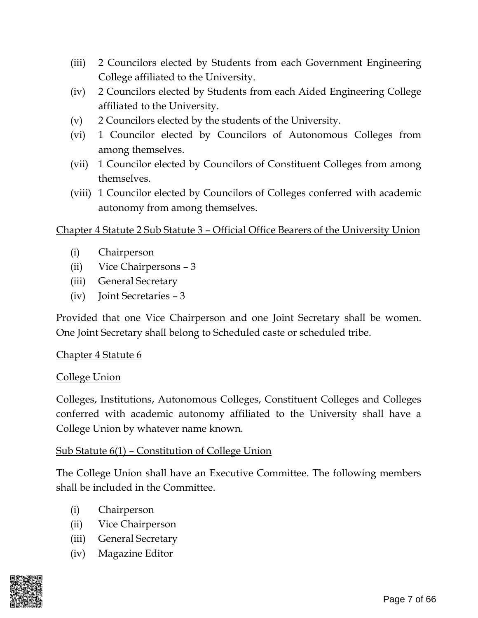- (iii) 2 Councilors elected by Students from each Government Engineering College affiliated to the University.
- (iv) 2 Councilors elected by Students from each Aided Engineering College affiliated to the University.
- (v) 2 Councilors elected by the students of the University.
- (vi) 1 Councilor elected by Councilors of Autonomous Colleges from among themselves.
- (vii) 1 Councilor elected by Councilors of Constituent Colleges from among themselves.
- (viii) 1 Councilor elected by Councilors of Colleges conferred with academic autonomy from among themselves.

#### Chapter 4 Statute 2 Sub Statute 3 – Official Office Bearers of the University Union

- (i) Chairperson
- (ii) Vice Chairpersons 3
- (iii) General Secretary
- (iv) Joint Secretaries 3

Provided that one Vice Chairperson and one Joint Secretary shall be women. One Joint Secretary shall belong to Scheduled caste or scheduled tribe.

#### Chapter 4 Statute 6

#### College Union

Colleges, Institutions, Autonomous Colleges, Constituent Colleges and Colleges conferred with academic autonomy affiliated to the University shall have a College Union by whatever name known.

#### Sub Statute 6(1) – Constitution of College Union

The College Union shall have an Executive Committee. The following members shall be included in the Committee.

- (i) Chairperson
- (ii) Vice Chairperson
- (iii) General Secretary
- (iv) Magazine Editor

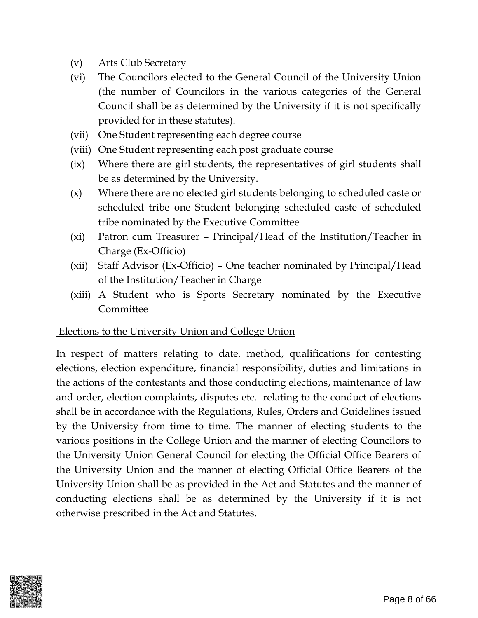- (v) Arts Club Secretary
- (vi) The Councilors elected to the General Council of the University Union (the number of Councilors in the various categories of the General Council shall be as determined by the University if it is not specifically provided for in these statutes).
- (vii) One Student representing each degree course
- (viii) One Student representing each post graduate course
- (ix) Where there are girl students, the representatives of girl students shall be as determined by the University.
- (x) Where there are no elected girl students belonging to scheduled caste or scheduled tribe one Student belonging scheduled caste of scheduled tribe nominated by the Executive Committee
- (xi) Patron cum Treasurer Principal/Head of the Institution/Teacher in Charge (Ex-Officio)
- (xii) Staff Advisor (Ex-Officio) One teacher nominated by Principal/Head of the Institution/Teacher in Charge
- (xiii) A Student who is Sports Secretary nominated by the Executive Committee

#### Elections to the University Union and College Union

In respect of matters relating to date, method, qualifications for contesting elections, election expenditure, financial responsibility, duties and limitations in the actions of the contestants and those conducting elections, maintenance of law and order, election complaints, disputes etc. relating to the conduct of elections shall be in accordance with the Regulations, Rules, Orders and Guidelines issued by the University from time to time. The manner of electing students to the various positions in the College Union and the manner of electing Councilors to the University Union General Council for electing the Official Office Bearers of the University Union and the manner of electing Official Office Bearers of the University Union shall be as provided in the Act and Statutes and the manner of conducting elections shall be as determined by the University if it is not otherwise prescribed in the Act and Statutes.

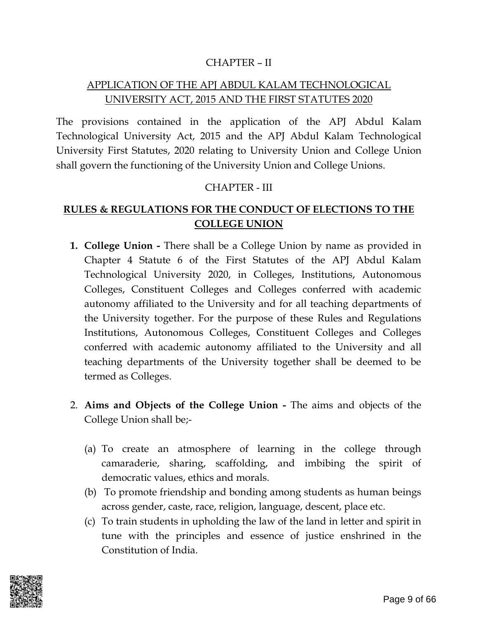### CHAPTER – II

# APPLICATION OF THE APJ ABDUL KALAM TECHNOLOGICAL UNIVERSITY ACT, 2015 AND THE FIRST STATUTES 2020

The provisions contained in the application of the APJ Abdul Kalam Technological University Act, 2015 and the APJ Abdul Kalam Technological University First Statutes, 2020 relating to University Union and College Union shall govern the functioning of the University Union and College Unions.

#### CHAPTER - III

## **RULES & REGULATIONS FOR THE CONDUCT OF ELECTIONS TO THE COLLEGE UNION**

- **1. College Union -** There shall be a College Union by name as provided in Chapter 4 Statute 6 of the First Statutes of the APJ Abdul Kalam Technological University 2020, in Colleges, Institutions, Autonomous Colleges, Constituent Colleges and Colleges conferred with academic autonomy affiliated to the University and for all teaching departments of the University together. For the purpose of these Rules and Regulations Institutions, Autonomous Colleges, Constituent Colleges and Colleges conferred with academic autonomy affiliated to the University and all teaching departments of the University together shall be deemed to be termed as Colleges.
- 2. **Aims and Objects of the College Union -** The aims and objects of the College Union shall be;-
	- (a) To create an atmosphere of learning in the college through camaraderie, sharing, scaffolding, and imbibing the spirit of democratic values, ethics and morals.
	- (b) To promote friendship and bonding among students as human beings across gender, caste, race, religion, language, descent, place etc.
	- (c) To train students in upholding the law of the land in letter and spirit in tune with the principles and essence of justice enshrined in the Constitution of India.

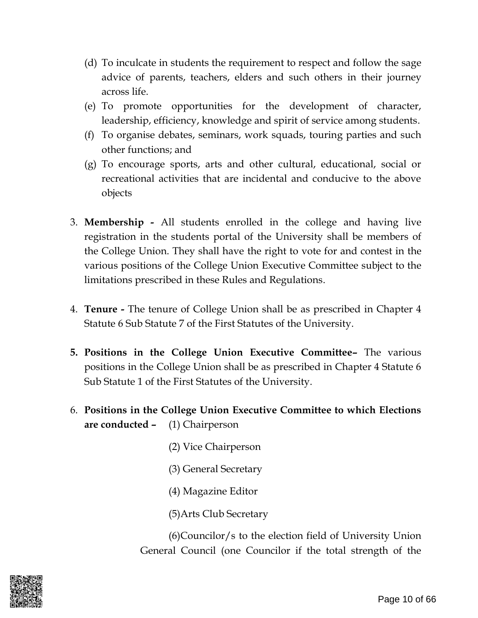- (d) To inculcate in students the requirement to respect and follow the sage advice of parents, teachers, elders and such others in their journey across life.
- (e) To promote opportunities for the development of character, leadership, efficiency, knowledge and spirit of service among students.
- (f) To organise debates, seminars, work squads, touring parties and such other functions; and
- (g) To encourage sports, arts and other cultural, educational, social or recreational activities that are incidental and conducive to the above objects
- 3. **Membership -** All students enrolled in the college and having live registration in the students portal of the University shall be members of the College Union. They shall have the right to vote for and contest in the various positions of the College Union Executive Committee subject to the limitations prescribed in these Rules and Regulations.
- 4. **Tenure -** The tenure of College Union shall be as prescribed in Chapter 4 Statute 6 Sub Statute 7 of the First Statutes of the University.
- **5. Positions in the College Union Executive Committee–** The various positions in the College Union shall be as prescribed in Chapter 4 Statute 6 Sub Statute 1 of the First Statutes of the University.
- 6. **Positions in the College Union Executive Committee to which Elections are conducted –** (1) Chairperson
	- (2) Vice Chairperson
	- (3) General Secretary
	- (4) Magazine Editor
	- (5)Arts Club Secretary

(6)Councilor/s to the election field of University Union General Council (one Councilor if the total strength of the

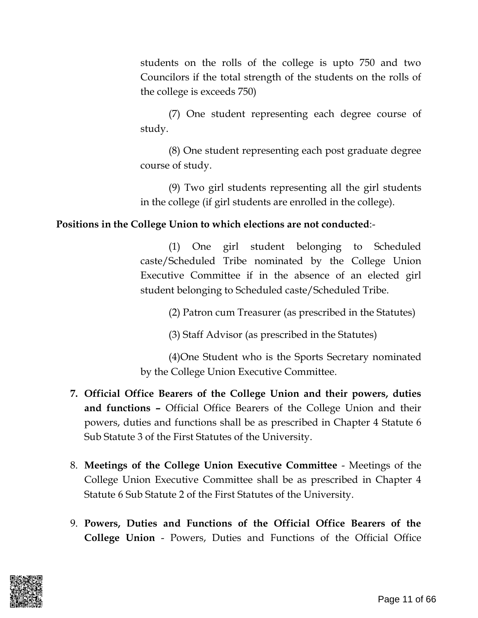students on the rolls of the college is upto 750 and two Councilors if the total strength of the students on the rolls of the college is exceeds 750)

(7) One student representing each degree course of study.

(8) One student representing each post graduate degree course of study.

(9) Two girl students representing all the girl students in the college (if girl students are enrolled in the college).

#### **Positions in the College Union to which elections are not conducted**:-

(1) One girl student belonging to Scheduled caste/Scheduled Tribe nominated by the College Union Executive Committee if in the absence of an elected girl student belonging to Scheduled caste/Scheduled Tribe.

(2) Patron cum Treasurer (as prescribed in the Statutes)

(3) Staff Advisor (as prescribed in the Statutes)

(4)One Student who is the Sports Secretary nominated by the College Union Executive Committee.

- **7. Official Office Bearers of the College Union and their powers, duties and functions –** Official Office Bearers of the College Union and their powers, duties and functions shall be as prescribed in Chapter 4 Statute 6 Sub Statute 3 of the First Statutes of the University.
- 8. **Meetings of the College Union Executive Committee** Meetings of the College Union Executive Committee shall be as prescribed in Chapter 4 Statute 6 Sub Statute 2 of the First Statutes of the University.
- 9. **Powers, Duties and Functions of the Official Office Bearers of the College Union** - Powers, Duties and Functions of the Official Office

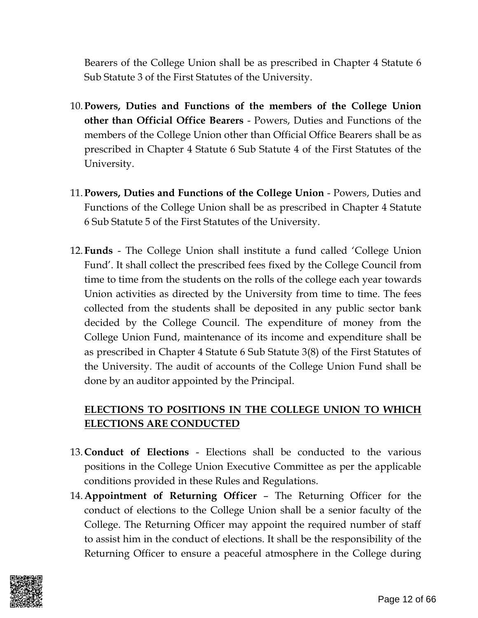Bearers of the College Union shall be as prescribed in Chapter 4 Statute 6 Sub Statute 3 of the First Statutes of the University.

- 10.**Powers, Duties and Functions of the members of the College Union other than Official Office Bearers** - Powers, Duties and Functions of the members of the College Union other than Official Office Bearers shall be as prescribed in Chapter 4 Statute 6 Sub Statute 4 of the First Statutes of the University.
- 11.**Powers, Duties and Functions of the College Union** Powers, Duties and Functions of the College Union shall be as prescribed in Chapter 4 Statute 6 Sub Statute 5 of the First Statutes of the University.
- 12.**Funds** The College Union shall institute a fund called 'College Union Fund'. It shall collect the prescribed fees fixed by the College Council from time to time from the students on the rolls of the college each year towards Union activities as directed by the University from time to time. The fees collected from the students shall be deposited in any public sector bank decided by the College Council. The expenditure of money from the College Union Fund, maintenance of its income and expenditure shall be as prescribed in Chapter 4 Statute 6 Sub Statute 3(8) of the First Statutes of the University. The audit of accounts of the College Union Fund shall be done by an auditor appointed by the Principal.

# **ELECTIONS TO POSITIONS IN THE COLLEGE UNION TO WHICH ELECTIONS ARE CONDUCTED**

- 13.**Conduct of Elections** Elections shall be conducted to the various positions in the College Union Executive Committee as per the applicable conditions provided in these Rules and Regulations.
- 14.**Appointment of Returning Officer** The Returning Officer for the conduct of elections to the College Union shall be a senior faculty of the College. The Returning Officer may appoint the required number of staff to assist him in the conduct of elections. It shall be the responsibility of the Returning Officer to ensure a peaceful atmosphere in the College during

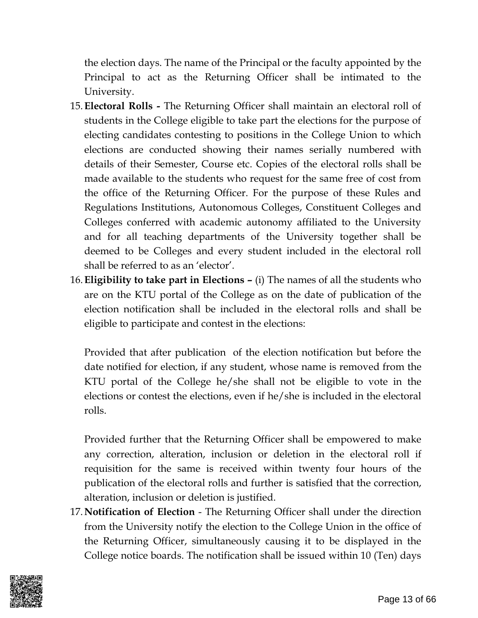the election days. The name of the Principal or the faculty appointed by the Principal to act as the Returning Officer shall be intimated to the University.

- 15.**Electoral Rolls -** The Returning Officer shall maintain an electoral roll of students in the College eligible to take part the elections for the purpose of electing candidates contesting to positions in the College Union to which elections are conducted showing their names serially numbered with details of their Semester, Course etc. Copies of the electoral rolls shall be made available to the students who request for the same free of cost from the office of the Returning Officer. For the purpose of these Rules and Regulations Institutions, Autonomous Colleges, Constituent Colleges and Colleges conferred with academic autonomy affiliated to the University and for all teaching departments of the University together shall be deemed to be Colleges and every student included in the electoral roll shall be referred to as an 'elector'.
- 16.**Eligibility to take part in Elections –** (i) The names of all the students who are on the KTU portal of the College as on the date of publication of the election notification shall be included in the electoral rolls and shall be eligible to participate and contest in the elections:

Provided that after publication of the election notification but before the date notified for election, if any student, whose name is removed from the KTU portal of the College he/she shall not be eligible to vote in the elections or contest the elections, even if he/she is included in the electoral rolls.

Provided further that the Returning Officer shall be empowered to make any correction, alteration, inclusion or deletion in the electoral roll if requisition for the same is received within twenty four hours of the publication of the electoral rolls and further is satisfied that the correction, alteration, inclusion or deletion is justified.

17.**Notification of Election** - The Returning Officer shall under the direction from the University notify the election to the College Union in the office of the Returning Officer, simultaneously causing it to be displayed in the College notice boards. The notification shall be issued within 10 (Ten) days

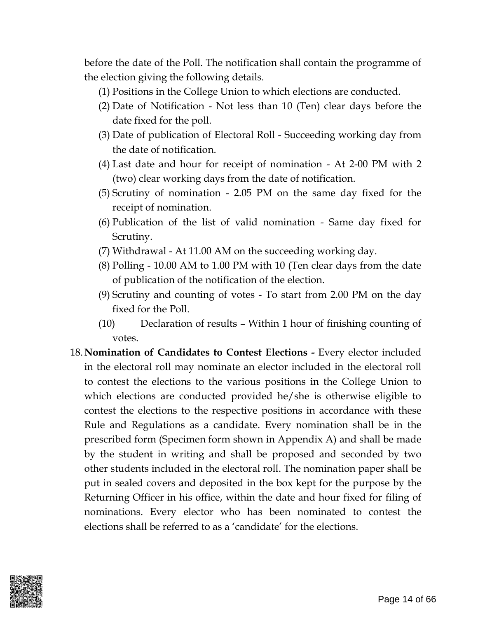before the date of the Poll. The notification shall contain the programme of the election giving the following details.

- (1) Positions in the College Union to which elections are conducted.
- (2) Date of Notification Not less than 10 (Ten) clear days before the date fixed for the poll.
- (3) Date of publication of Electoral Roll Succeeding working day from the date of notification.
- (4) Last date and hour for receipt of nomination At 2-00 PM with 2 (two) clear working days from the date of notification.
- (5) Scrutiny of nomination 2.05 PM on the same day fixed for the receipt of nomination.
- (6) Publication of the list of valid nomination Same day fixed for Scrutiny.
- (7) Withdrawal At 11.00 AM on the succeeding working day.
- (8) Polling 10.00 AM to 1.00 PM with 10 (Ten clear days from the date of publication of the notification of the election.
- (9) Scrutiny and counting of votes To start from 2.00 PM on the day fixed for the Poll.
- (10) Declaration of results Within 1 hour of finishing counting of votes.
- 18.**Nomination of Candidates to Contest Elections -** Every elector included in the electoral roll may nominate an elector included in the electoral roll to contest the elections to the various positions in the College Union to which elections are conducted provided he/she is otherwise eligible to contest the elections to the respective positions in accordance with these Rule and Regulations as a candidate. Every nomination shall be in the prescribed form (Specimen form shown in Appendix A) and shall be made by the student in writing and shall be proposed and seconded by two other students included in the electoral roll. The nomination paper shall be put in sealed covers and deposited in the box kept for the purpose by the Returning Officer in his office, within the date and hour fixed for filing of nominations. Every elector who has been nominated to contest the elections shall be referred to as a 'candidate' for the elections.

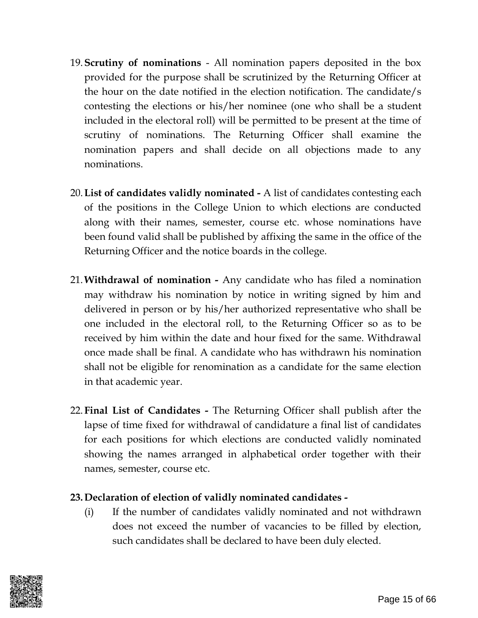- 19.**Scrutiny of nominations** All nomination papers deposited in the box provided for the purpose shall be scrutinized by the Returning Officer at the hour on the date notified in the election notification. The candidate/s contesting the elections or his/her nominee (one who shall be a student included in the electoral roll) will be permitted to be present at the time of scrutiny of nominations. The Returning Officer shall examine the nomination papers and shall decide on all objections made to any nominations.
- 20.**List of candidates validly nominated -** A list of candidates contesting each of the positions in the College Union to which elections are conducted along with their names, semester, course etc. whose nominations have been found valid shall be published by affixing the same in the office of the Returning Officer and the notice boards in the college.
- 21.**Withdrawal of nomination -** Any candidate who has filed a nomination may withdraw his nomination by notice in writing signed by him and delivered in person or by his/her authorized representative who shall be one included in the electoral roll, to the Returning Officer so as to be received by him within the date and hour fixed for the same. Withdrawal once made shall be final. A candidate who has withdrawn his nomination shall not be eligible for renomination as a candidate for the same election in that academic year.
- 22.**Final List of Candidates -** The Returning Officer shall publish after the lapse of time fixed for withdrawal of candidature a final list of candidates for each positions for which elections are conducted validly nominated showing the names arranged in alphabetical order together with their names, semester, course etc.

#### **23.Declaration of election of validly nominated candidates -**

(i) If the number of candidates validly nominated and not withdrawn does not exceed the number of vacancies to be filled by election, such candidates shall be declared to have been duly elected.

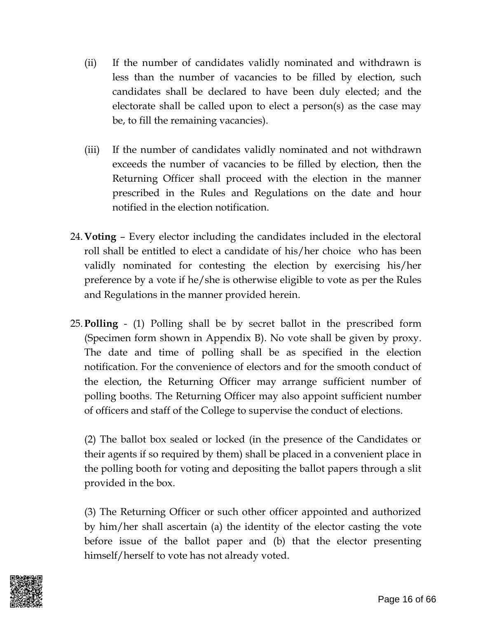- (ii) If the number of candidates validly nominated and withdrawn is less than the number of vacancies to be filled by election, such candidates shall be declared to have been duly elected; and the electorate shall be called upon to elect a person(s) as the case may be, to fill the remaining vacancies).
- (iii) If the number of candidates validly nominated and not withdrawn exceeds the number of vacancies to be filled by election, then the Returning Officer shall proceed with the election in the manner prescribed in the Rules and Regulations on the date and hour notified in the election notification.
- 24.**Voting** Every elector including the candidates included in the electoral roll shall be entitled to elect a candidate of his/her choice who has been validly nominated for contesting the election by exercising his/her preference by a vote if he/she is otherwise eligible to vote as per the Rules and Regulations in the manner provided herein.
- 25.**Polling** (1) Polling shall be by secret ballot in the prescribed form (Specimen form shown in Appendix B). No vote shall be given by proxy. The date and time of polling shall be as specified in the election notification. For the convenience of electors and for the smooth conduct of the election, the Returning Officer may arrange sufficient number of polling booths. The Returning Officer may also appoint sufficient number of officers and staff of the College to supervise the conduct of elections.

(2) The ballot box sealed or locked (in the presence of the Candidates or their agents if so required by them) shall be placed in a convenient place in the polling booth for voting and depositing the ballot papers through a slit provided in the box.

(3) The Returning Officer or such other officer appointed and authorized by him/her shall ascertain (a) the identity of the elector casting the vote before issue of the ballot paper and (b) that the elector presenting himself/herself to vote has not already voted.

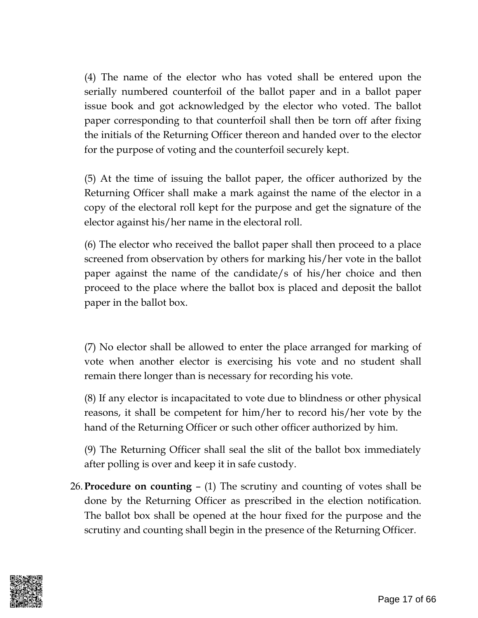(4) The name of the elector who has voted shall be entered upon the serially numbered counterfoil of the ballot paper and in a ballot paper issue book and got acknowledged by the elector who voted. The ballot paper corresponding to that counterfoil shall then be torn off after fixing the initials of the Returning Officer thereon and handed over to the elector for the purpose of voting and the counterfoil securely kept.

(5) At the time of issuing the ballot paper, the officer authorized by the Returning Officer shall make a mark against the name of the elector in a copy of the electoral roll kept for the purpose and get the signature of the elector against his/her name in the electoral roll.

(6) The elector who received the ballot paper shall then proceed to a place screened from observation by others for marking his/her vote in the ballot paper against the name of the candidate/s of his/her choice and then proceed to the place where the ballot box is placed and deposit the ballot paper in the ballot box.

(7) No elector shall be allowed to enter the place arranged for marking of vote when another elector is exercising his vote and no student shall remain there longer than is necessary for recording his vote.

(8) If any elector is incapacitated to vote due to blindness or other physical reasons, it shall be competent for him/her to record his/her vote by the hand of the Returning Officer or such other officer authorized by him.

(9) The Returning Officer shall seal the slit of the ballot box immediately after polling is over and keep it in safe custody.

26.**Procedure on counting** – (1) The scrutiny and counting of votes shall be done by the Returning Officer as prescribed in the election notification. The ballot box shall be opened at the hour fixed for the purpose and the scrutiny and counting shall begin in the presence of the Returning Officer.

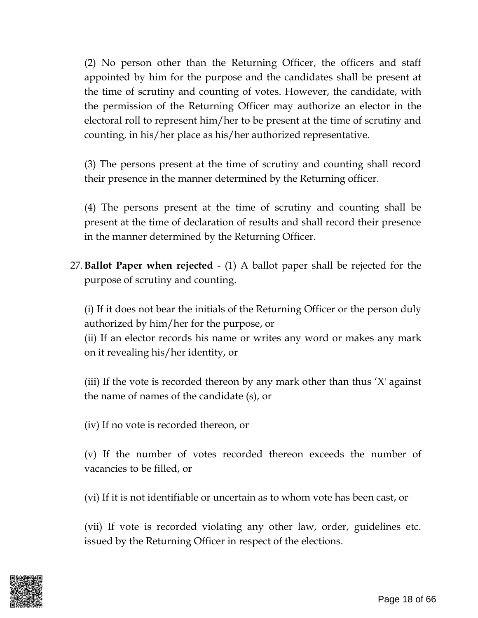(2) No person other than the Returning Officer, the officers and staff appointed by him for the purpose and the candidates shall be present at the time of scrutiny and counting of votes. However, the candidate, with the permission of the Returning Officer may authorize an elector in the electoral roll to represent him/her to be present at the time of scrutiny and counting, in his/her place as his/her authorized representative.

(3) The persons present at the time of scrutiny and counting shall record their presence in the manner determined by the Returning officer.

(4) The persons present at the time of scrutiny and counting shall be present at the time of declaration of results and shall record their presence in the manner determined by the Returning Officer.

27.**Ballot Paper when rejected** - (1) A ballot paper shall be rejected for the purpose of scrutiny and counting.

(i) If it does not bear the initials of the Returning Officer or the person duly authorized by him/her for the purpose, or

(ii) If an elector records his name or writes any word or makes any mark on it revealing his/her identity, or

(iii) If the vote is recorded thereon by any mark other than thus 'X' against the name of names of the candidate (s), or

(iv) If no vote is recorded thereon, or

(v) If the number of votes recorded thereon exceeds the number of vacancies to be filled, or

(vi) If it is not identifiable or uncertain as to whom vote has been cast, or

(vii) If vote is recorded violating any other law, order, guidelines etc. issued by the Returning Officer in respect of the elections.

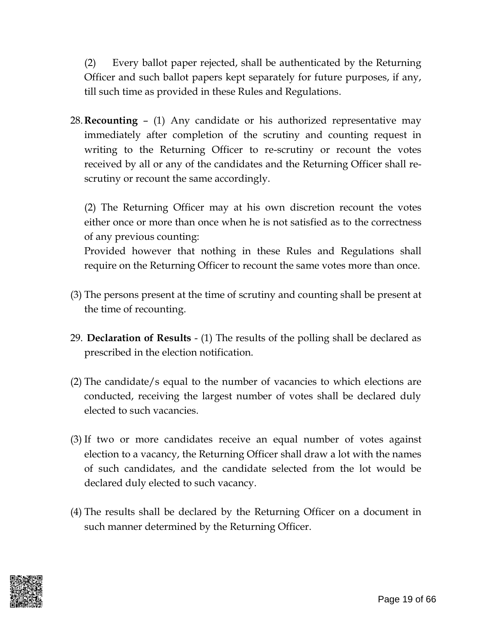(2) Every ballot paper rejected, shall be authenticated by the Returning Officer and such ballot papers kept separately for future purposes, if any, till such time as provided in these Rules and Regulations.

28.**Recounting** – (1) Any candidate or his authorized representative may immediately after completion of the scrutiny and counting request in writing to the Returning Officer to re-scrutiny or recount the votes received by all or any of the candidates and the Returning Officer shall rescrutiny or recount the same accordingly.

(2) The Returning Officer may at his own discretion recount the votes either once or more than once when he is not satisfied as to the correctness of any previous counting:

Provided however that nothing in these Rules and Regulations shall require on the Returning Officer to recount the same votes more than once.

- (3) The persons present at the time of scrutiny and counting shall be present at the time of recounting.
- 29. **Declaration of Results**  (1) The results of the polling shall be declared as prescribed in the election notification.
- (2) The candidate/s equal to the number of vacancies to which elections are conducted, receiving the largest number of votes shall be declared duly elected to such vacancies.
- (3) If two or more candidates receive an equal number of votes against election to a vacancy, the Returning Officer shall draw a lot with the names of such candidates, and the candidate selected from the lot would be declared duly elected to such vacancy.
- (4) The results shall be declared by the Returning Officer on a document in such manner determined by the Returning Officer.

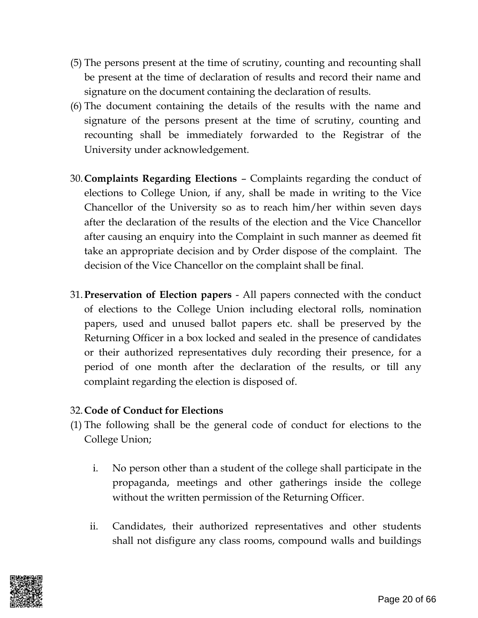- (5) The persons present at the time of scrutiny, counting and recounting shall be present at the time of declaration of results and record their name and signature on the document containing the declaration of results.
- (6) The document containing the details of the results with the name and signature of the persons present at the time of scrutiny, counting and recounting shall be immediately forwarded to the Registrar of the University under acknowledgement.
- 30.**Complaints Regarding Elections**  Complaints regarding the conduct of elections to College Union, if any, shall be made in writing to the Vice Chancellor of the University so as to reach him/her within seven days after the declaration of the results of the election and the Vice Chancellor after causing an enquiry into the Complaint in such manner as deemed fit take an appropriate decision and by Order dispose of the complaint. The decision of the Vice Chancellor on the complaint shall be final.
- 31.**Preservation of Election papers** All papers connected with the conduct of elections to the College Union including electoral rolls, nomination papers, used and unused ballot papers etc. shall be preserved by the Returning Officer in a box locked and sealed in the presence of candidates or their authorized representatives duly recording their presence, for a period of one month after the declaration of the results, or till any complaint regarding the election is disposed of.

## 32.**Code of Conduct for Elections**

- (1) The following shall be the general code of conduct for elections to the College Union;
	- i. No person other than a student of the college shall participate in the propaganda, meetings and other gatherings inside the college without the written permission of the Returning Officer.
	- ii. Candidates, their authorized representatives and other students shall not disfigure any class rooms, compound walls and buildings

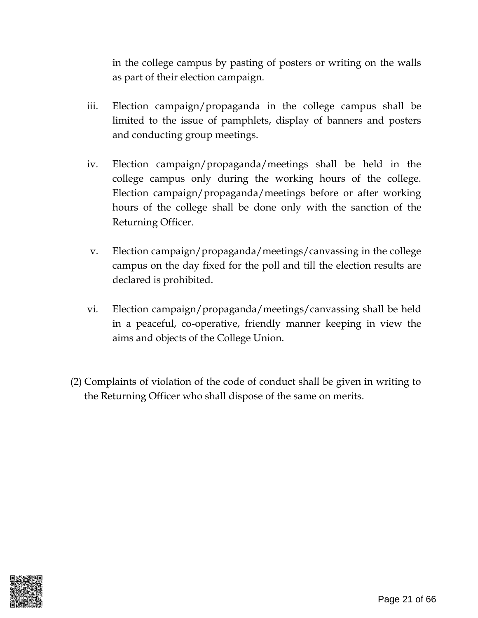in the college campus by pasting of posters or writing on the walls as part of their election campaign.

- iii. Election campaign/propaganda in the college campus shall be limited to the issue of pamphlets, display of banners and posters and conducting group meetings.
- iv. Election campaign/propaganda/meetings shall be held in the college campus only during the working hours of the college. Election campaign/propaganda/meetings before or after working hours of the college shall be done only with the sanction of the Returning Officer.
- v. Election campaign/propaganda/meetings/canvassing in the college campus on the day fixed for the poll and till the election results are declared is prohibited.
- vi. Election campaign/propaganda/meetings/canvassing shall be held in a peaceful, co-operative, friendly manner keeping in view the aims and objects of the College Union.
- (2) Complaints of violation of the code of conduct shall be given in writing to the Returning Officer who shall dispose of the same on merits.

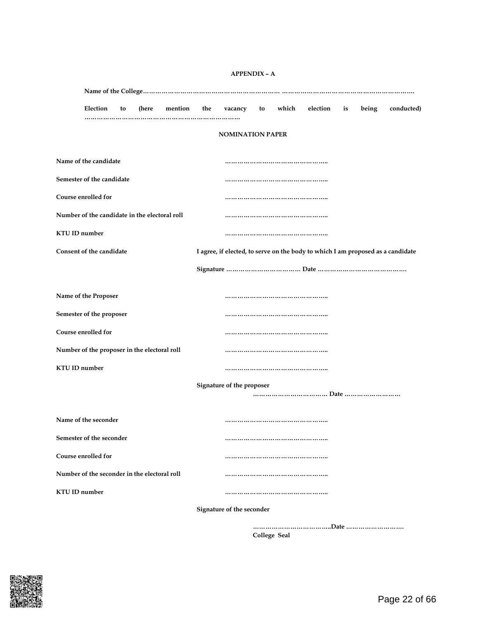|                      |                                               |    |       |             |     |                                                                                 | <b>APPENDIX - A</b> |          |    |       |            |
|----------------------|-----------------------------------------------|----|-------|-------------|-----|---------------------------------------------------------------------------------|---------------------|----------|----|-------|------------|
|                      |                                               |    |       |             |     |                                                                                 |                     |          |    |       |            |
|                      | Election                                      | to | (here | mention<br> | the | vacancy to which                                                                |                     | election | is | being | conducted) |
|                      |                                               |    |       |             |     | <b>NOMINATION PAPER</b>                                                         |                     |          |    |       |            |
|                      | Name of the candidate                         |    |       |             |     |                                                                                 |                     |          |    |       |            |
|                      | Semester of the candidate                     |    |       |             |     |                                                                                 |                     |          |    |       |            |
|                      | Course enrolled for                           |    |       |             |     |                                                                                 |                     |          |    |       |            |
|                      | Number of the candidate in the electoral roll |    |       |             |     |                                                                                 |                     |          |    |       |            |
| <b>KTU ID number</b> |                                               |    |       |             |     |                                                                                 |                     |          |    |       |            |
|                      | Consent of the candidate                      |    |       |             |     | I agree, if elected, to serve on the body to which I am proposed as a candidate |                     |          |    |       |            |
|                      |                                               |    |       |             |     |                                                                                 |                     |          |    |       |            |
|                      | Name of the Proposer                          |    |       |             |     |                                                                                 |                     |          |    |       |            |
|                      | Semester of the proposer                      |    |       |             |     |                                                                                 |                     |          |    |       |            |
|                      | Course enrolled for                           |    |       |             |     |                                                                                 |                     |          |    |       |            |
|                      | Number of the proposer in the electoral roll  |    |       |             |     |                                                                                 |                     |          |    |       |            |
| <b>KTU ID number</b> |                                               |    |       |             |     |                                                                                 |                     |          |    |       |            |
|                      |                                               |    |       |             |     | Signature of the proposer                                                       |                     |          |    |       |            |
|                      |                                               |    |       |             |     |                                                                                 |                     |          |    |       |            |
|                      | Name of the seconder                          |    |       |             |     |                                                                                 |                     |          |    |       |            |
|                      | Semester of the seconder                      |    |       |             |     |                                                                                 |                     |          |    |       |            |
|                      | Course enrolled for                           |    |       |             |     |                                                                                 |                     |          |    |       |            |
|                      | Number of the seconder in the electoral roll  |    |       |             |     |                                                                                 |                     |          |    |       |            |
| <b>KTU ID number</b> |                                               |    |       |             |     |                                                                                 |                     |          |    |       |            |
|                      |                                               |    |       |             |     | Signature of the seconder                                                       |                     |          |    |       |            |

**………………………………..Date ………………………. College Seal** 

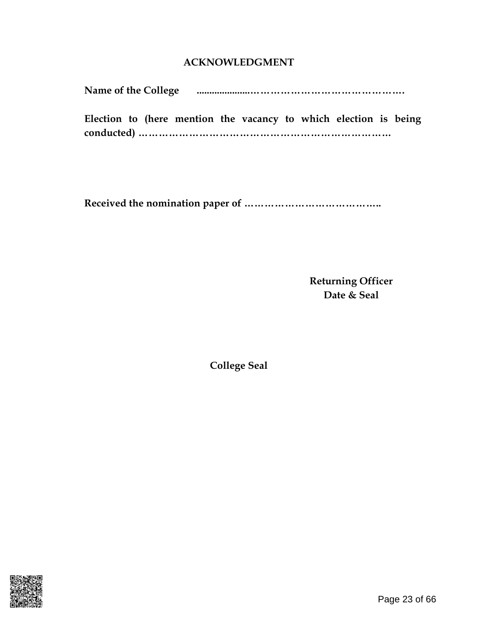#### **ACKNOWLEDGMENT**

| Name of the College |  |
|---------------------|--|
|---------------------|--|

**Election to (here mention the vacancy to which election is being conducted) …………………………………………………………………**

**Received the nomination paper of …………………………………..**

**Returning Officer Date & Seal**

**College Seal** 

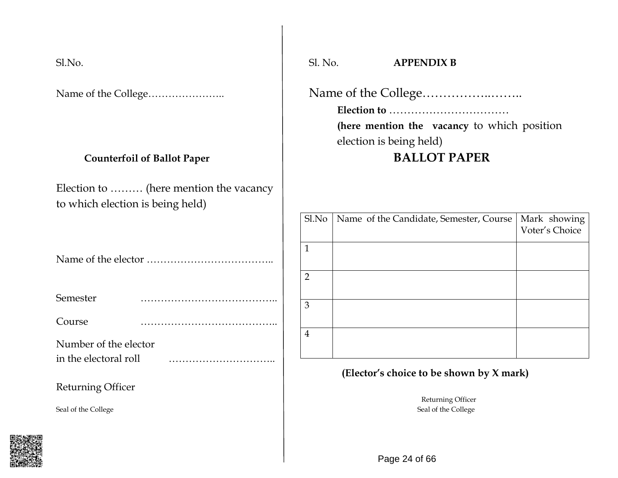# **Counterfoil of Ballot Paper BALLOT PAPER**

Election to ……… (here mention the vacancy to which election is being held)

Name of the elector ………………………………..

Course …………………………………..

Number of the elector in the electoral roll …………………………..

Returning Officer

## Sl. No. **APPENDIX B**

Name of the College………………….. Name of the College……………..……..

**Election to** ……………………………

**(here mention the vacancy** to which position election is being held)

|                | Sl.No   Name of the Candidate, Semester, Course | Mark showing<br>Voter's Choice |
|----------------|-------------------------------------------------|--------------------------------|
|                |                                                 |                                |
| $\overline{2}$ |                                                 |                                |
| 3              |                                                 |                                |
| 4              |                                                 |                                |

## **(Elector's choice to be shown by X mark)**

Returning Officer Seal of the College Seal of the College Seal of the College Seal of the College Seal of the College Seal of the College Seal of the College Seal of the College Seal of the College Seal of the College Seal of the College Se

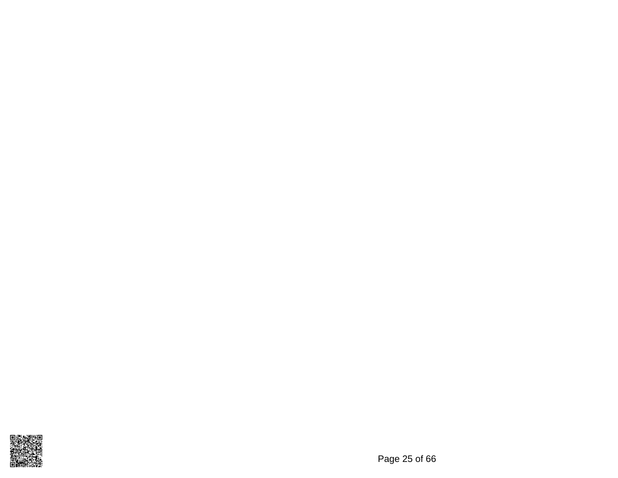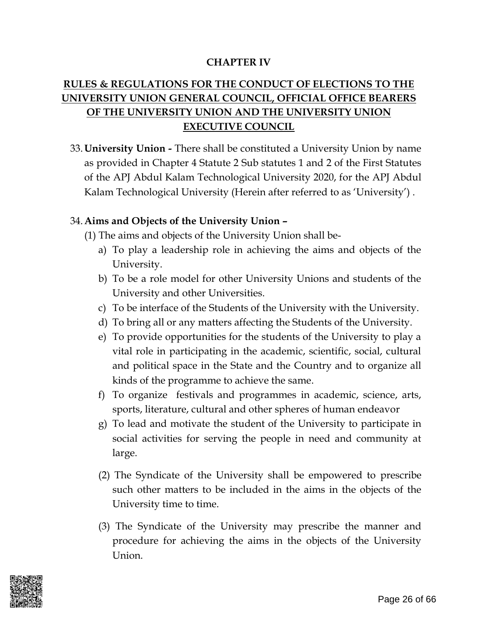#### **CHAPTER IV**

# **RULES & REGULATIONS FOR THE CONDUCT OF ELECTIONS TO THE UNIVERSITY UNION GENERAL COUNCIL, OFFICIAL OFFICE BEARERS OF THE UNIVERSITY UNION AND THE UNIVERSITY UNION EXECUTIVE COUNCIL**

33.**University Union -** There shall be constituted a University Union by name as provided in Chapter 4 Statute 2 Sub statutes 1 and 2 of the First Statutes of the APJ Abdul Kalam Technological University 2020, for the APJ Abdul Kalam Technological University (Herein after referred to as 'University') .

#### 34.**Aims and Objects of the University Union –**

- (1) The aims and objects of the University Union shall be
	- a) To play a leadership role in achieving the aims and objects of the University.
	- b) To be a role model for other University Unions and students of the University and other Universities.
	- c) To be interface of the Students of the University with the University.
	- d) To bring all or any matters affecting the Students of the University.
	- e) To provide opportunities for the students of the University to play a vital role in participating in the academic, scientific, social, cultural and political space in the State and the Country and to organize all kinds of the programme to achieve the same.
	- f) To organize festivals and programmes in academic, science, arts, sports, literature, cultural and other spheres of human endeavor
	- g) To lead and motivate the student of the University to participate in social activities for serving the people in need and community at large.
	- (2) The Syndicate of the University shall be empowered to prescribe such other matters to be included in the aims in the objects of the University time to time.
	- (3) The Syndicate of the University may prescribe the manner and procedure for achieving the aims in the objects of the University Union.

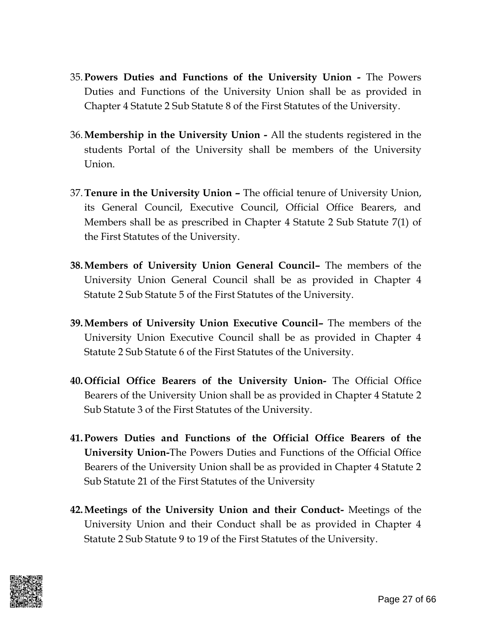- 35.**Powers Duties and Functions of the University Union -** The Powers Duties and Functions of the University Union shall be as provided in Chapter 4 Statute 2 Sub Statute 8 of the First Statutes of the University.
- 36.**Membership in the University Union -** All the students registered in the students Portal of the University shall be members of the University Union.
- 37.**Tenure in the University Union –** The official tenure of University Union, its General Council, Executive Council, Official Office Bearers, and Members shall be as prescribed in Chapter 4 Statute 2 Sub Statute 7(1) of the First Statutes of the University.
- **38.Members of University Union General Council–** The members of the University Union General Council shall be as provided in Chapter 4 Statute 2 Sub Statute 5 of the First Statutes of the University.
- **39.Members of University Union Executive Council–** The members of the University Union Executive Council shall be as provided in Chapter 4 Statute 2 Sub Statute 6 of the First Statutes of the University.
- **40.Official Office Bearers of the University Union-** The Official Office Bearers of the University Union shall be as provided in Chapter 4 Statute 2 Sub Statute 3 of the First Statutes of the University.
- **41.Powers Duties and Functions of the Official Office Bearers of the University Union-**The Powers Duties and Functions of the Official Office Bearers of the University Union shall be as provided in Chapter 4 Statute 2 Sub Statute 21 of the First Statutes of the University
- **42.Meetings of the University Union and their Conduct-** Meetings of the University Union and their Conduct shall be as provided in Chapter 4 Statute 2 Sub Statute 9 to 19 of the First Statutes of the University.

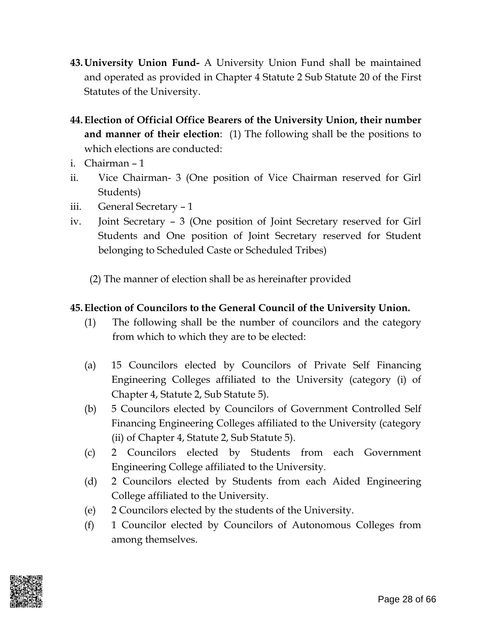- **43.University Union Fund-** A University Union Fund shall be maintained and operated as provided in Chapter 4 Statute 2 Sub Statute 20 of the First Statutes of the University.
- **44.Election of Official Office Bearers of the University Union, their number and manner of their election**: (1) The following shall be the positions to which elections are conducted:
- i. Chairman 1
- ii. Vice Chairman- 3 (One position of Vice Chairman reserved for Girl Students)
- iii. General Secretary 1
- iv. Joint Secretary 3 (One position of Joint Secretary reserved for Girl Students and One position of Joint Secretary reserved for Student belonging to Scheduled Caste or Scheduled Tribes)

(2) The manner of election shall be as hereinafter provided

## **45.Election of Councilors to the General Council of the University Union.**

- (1) The following shall be the number of councilors and the category from which to which they are to be elected:
- (a) 15 Councilors elected by Councilors of Private Self Financing Engineering Colleges affiliated to the University (category (i) of Chapter 4, Statute 2, Sub Statute 5).
- (b) 5 Councilors elected by Councilors of Government Controlled Self Financing Engineering Colleges affiliated to the University (category (ii) of Chapter 4, Statute 2, Sub Statute 5).
- (c) 2 Councilors elected by Students from each Government Engineering College affiliated to the University.
- (d) 2 Councilors elected by Students from each Aided Engineering College affiliated to the University.
- (e) 2 Councilors elected by the students of the University.
- (f) 1 Councilor elected by Councilors of Autonomous Colleges from among themselves.

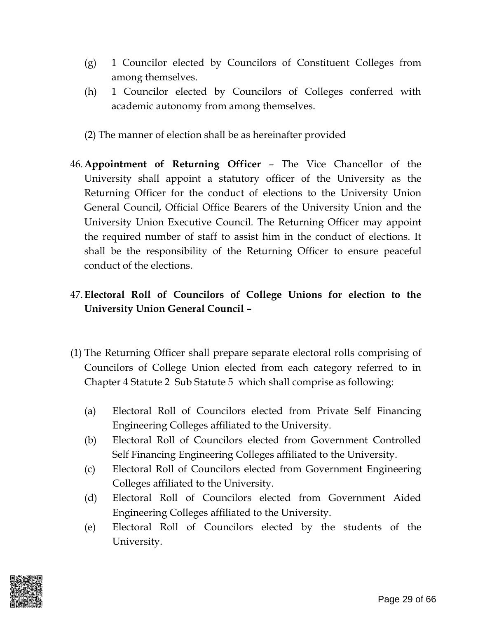- (g) 1 Councilor elected by Councilors of Constituent Colleges from among themselves.
- (h) 1 Councilor elected by Councilors of Colleges conferred with academic autonomy from among themselves.
- (2) The manner of election shall be as hereinafter provided
- 46.**Appointment of Returning Officer** The Vice Chancellor of the University shall appoint a statutory officer of the University as the Returning Officer for the conduct of elections to the University Union General Council, Official Office Bearers of the University Union and the University Union Executive Council. The Returning Officer may appoint the required number of staff to assist him in the conduct of elections. It shall be the responsibility of the Returning Officer to ensure peaceful conduct of the elections.

# 47.**Electoral Roll of Councilors of College Unions for election to the University Union General Council –**

- (1) The Returning Officer shall prepare separate electoral rolls comprising of Councilors of College Union elected from each category referred to in Chapter 4 Statute 2 Sub Statute 5 which shall comprise as following:
	- (a) Electoral Roll of Councilors elected from Private Self Financing Engineering Colleges affiliated to the University.
	- (b) Electoral Roll of Councilors elected from Government Controlled Self Financing Engineering Colleges affiliated to the University.
	- (c) Electoral Roll of Councilors elected from Government Engineering Colleges affiliated to the University.
	- (d) Electoral Roll of Councilors elected from Government Aided Engineering Colleges affiliated to the University.
	- (e) Electoral Roll of Councilors elected by the students of the University.

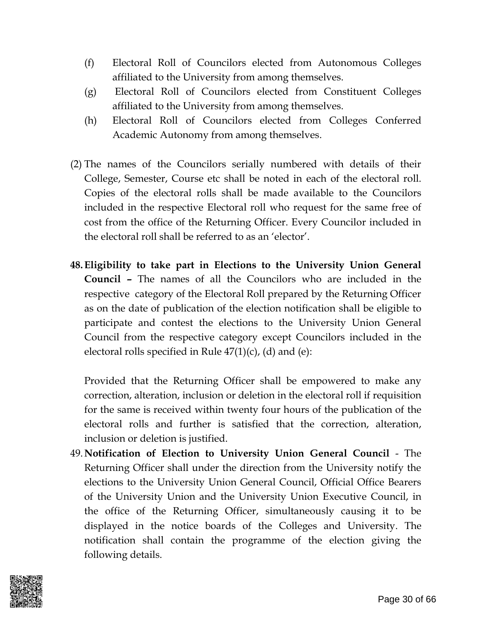- (f) Electoral Roll of Councilors elected from Autonomous Colleges affiliated to the University from among themselves.
- (g) Electoral Roll of Councilors elected from Constituent Colleges affiliated to the University from among themselves.
- (h) Electoral Roll of Councilors elected from Colleges Conferred Academic Autonomy from among themselves.
- (2) The names of the Councilors serially numbered with details of their College, Semester, Course etc shall be noted in each of the electoral roll. Copies of the electoral rolls shall be made available to the Councilors included in the respective Electoral roll who request for the same free of cost from the office of the Returning Officer. Every Councilor included in the electoral roll shall be referred to as an 'elector'.
- **48.Eligibility to take part in Elections to the University Union General Council –** The names of all the Councilors who are included in the respective category of the Electoral Roll prepared by the Returning Officer as on the date of publication of the election notification shall be eligible to participate and contest the elections to the University Union General Council from the respective category except Councilors included in the electoral rolls specified in Rule  $47(1)(c)$ , (d) and (e):

Provided that the Returning Officer shall be empowered to make any correction, alteration, inclusion or deletion in the electoral roll if requisition for the same is received within twenty four hours of the publication of the electoral rolls and further is satisfied that the correction, alteration, inclusion or deletion is justified.

49.**Notification of Election to University Union General Council** - The Returning Officer shall under the direction from the University notify the elections to the University Union General Council, Official Office Bearers of the University Union and the University Union Executive Council, in the office of the Returning Officer, simultaneously causing it to be displayed in the notice boards of the Colleges and University. The notification shall contain the programme of the election giving the following details.

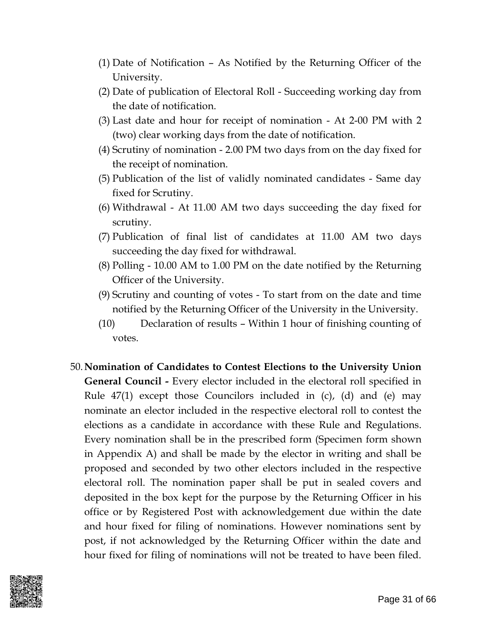- (1) Date of Notification As Notified by the Returning Officer of the University.
- (2) Date of publication of Electoral Roll Succeeding working day from the date of notification.
- (3) Last date and hour for receipt of nomination At 2-00 PM with 2 (two) clear working days from the date of notification.
- (4) Scrutiny of nomination 2.00 PM two days from on the day fixed for the receipt of nomination.
- (5) Publication of the list of validly nominated candidates Same day fixed for Scrutiny.
- (6) Withdrawal At 11.00 AM two days succeeding the day fixed for scrutiny.
- (7) Publication of final list of candidates at 11.00 AM two days succeeding the day fixed for withdrawal.
- (8) Polling 10.00 AM to 1.00 PM on the date notified by the Returning Officer of the University.
- (9) Scrutiny and counting of votes To start from on the date and time notified by the Returning Officer of the University in the University.
- (10) Declaration of results Within 1 hour of finishing counting of votes.
- 50.**Nomination of Candidates to Contest Elections to the University Union General Council -** Every elector included in the electoral roll specified in Rule 47(1) except those Councilors included in (c), (d) and (e) may nominate an elector included in the respective electoral roll to contest the elections as a candidate in accordance with these Rule and Regulations. Every nomination shall be in the prescribed form (Specimen form shown in Appendix A) and shall be made by the elector in writing and shall be proposed and seconded by two other electors included in the respective electoral roll. The nomination paper shall be put in sealed covers and deposited in the box kept for the purpose by the Returning Officer in his office or by Registered Post with acknowledgement due within the date and hour fixed for filing of nominations. However nominations sent by post, if not acknowledged by the Returning Officer within the date and hour fixed for filing of nominations will not be treated to have been filed.

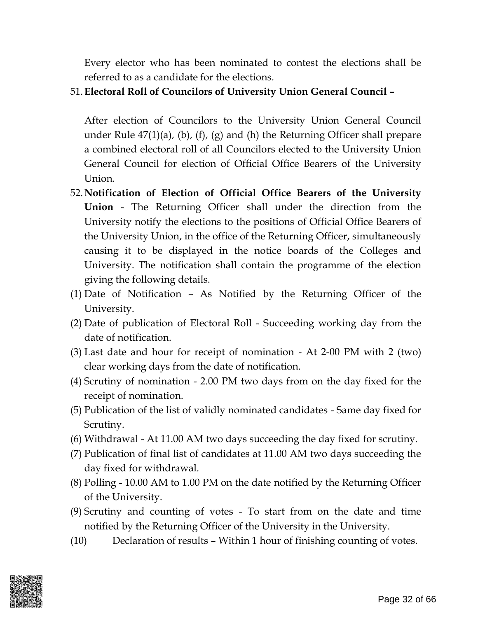Every elector who has been nominated to contest the elections shall be referred to as a candidate for the elections.

51.**Electoral Roll of Councilors of University Union General Council –**

After election of Councilors to the University Union General Council under Rule 47(1)(a), (b), (f), (g) and (h) the Returning Officer shall prepare a combined electoral roll of all Councilors elected to the University Union General Council for election of Official Office Bearers of the University Union.

- 52.**Notification of Election of Official Office Bearers of the University Union** - The Returning Officer shall under the direction from the University notify the elections to the positions of Official Office Bearers of the University Union, in the office of the Returning Officer, simultaneously causing it to be displayed in the notice boards of the Colleges and University. The notification shall contain the programme of the election giving the following details.
- (1) Date of Notification As Notified by the Returning Officer of the University.
- (2) Date of publication of Electoral Roll Succeeding working day from the date of notification.
- (3) Last date and hour for receipt of nomination At 2-00 PM with 2 (two) clear working days from the date of notification.
- (4) Scrutiny of nomination 2.00 PM two days from on the day fixed for the receipt of nomination.
- (5) Publication of the list of validly nominated candidates Same day fixed for Scrutiny.
- (6) Withdrawal At 11.00 AM two days succeeding the day fixed for scrutiny.
- (7) Publication of final list of candidates at 11.00 AM two days succeeding the day fixed for withdrawal.
- (8) Polling 10.00 AM to 1.00 PM on the date notified by the Returning Officer of the University.
- (9) Scrutiny and counting of votes To start from on the date and time notified by the Returning Officer of the University in the University.
- (10) Declaration of results Within 1 hour of finishing counting of votes.

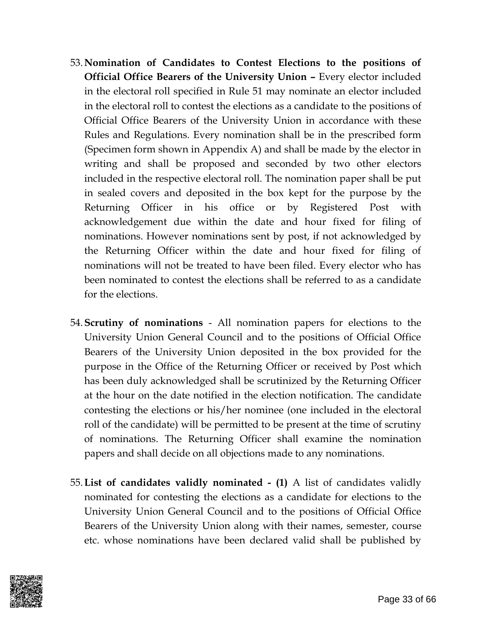- 53.**Nomination of Candidates to Contest Elections to the positions of Official Office Bearers of the University Union –** Every elector included in the electoral roll specified in Rule 51 may nominate an elector included in the electoral roll to contest the elections as a candidate to the positions of Official Office Bearers of the University Union in accordance with these Rules and Regulations. Every nomination shall be in the prescribed form (Specimen form shown in Appendix A) and shall be made by the elector in writing and shall be proposed and seconded by two other electors included in the respective electoral roll. The nomination paper shall be put in sealed covers and deposited in the box kept for the purpose by the Returning Officer in his office or by Registered Post with acknowledgement due within the date and hour fixed for filing of nominations. However nominations sent by post, if not acknowledged by the Returning Officer within the date and hour fixed for filing of nominations will not be treated to have been filed. Every elector who has been nominated to contest the elections shall be referred to as a candidate for the elections.
- 54.**Scrutiny of nominations** All nomination papers for elections to the University Union General Council and to the positions of Official Office Bearers of the University Union deposited in the box provided for the purpose in the Office of the Returning Officer or received by Post which has been duly acknowledged shall be scrutinized by the Returning Officer at the hour on the date notified in the election notification. The candidate contesting the elections or his/her nominee (one included in the electoral roll of the candidate) will be permitted to be present at the time of scrutiny of nominations. The Returning Officer shall examine the nomination papers and shall decide on all objections made to any nominations.
- 55.**List of candidates validly nominated - (1)** A list of candidates validly nominated for contesting the elections as a candidate for elections to the University Union General Council and to the positions of Official Office Bearers of the University Union along with their names, semester, course etc. whose nominations have been declared valid shall be published by

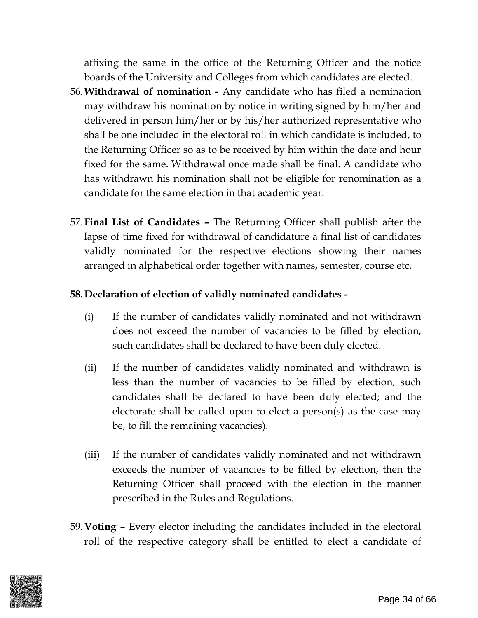affixing the same in the office of the Returning Officer and the notice boards of the University and Colleges from which candidates are elected.

- 56.**Withdrawal of nomination -** Any candidate who has filed a nomination may withdraw his nomination by notice in writing signed by him/her and delivered in person him/her or by his/her authorized representative who shall be one included in the electoral roll in which candidate is included, to the Returning Officer so as to be received by him within the date and hour fixed for the same. Withdrawal once made shall be final. A candidate who has withdrawn his nomination shall not be eligible for renomination as a candidate for the same election in that academic year.
- 57.**Final List of Candidates –** The Returning Officer shall publish after the lapse of time fixed for withdrawal of candidature a final list of candidates validly nominated for the respective elections showing their names arranged in alphabetical order together with names, semester, course etc.

#### **58.Declaration of election of validly nominated candidates -**

- (i) If the number of candidates validly nominated and not withdrawn does not exceed the number of vacancies to be filled by election, such candidates shall be declared to have been duly elected.
- (ii) If the number of candidates validly nominated and withdrawn is less than the number of vacancies to be filled by election, such candidates shall be declared to have been duly elected; and the electorate shall be called upon to elect a person(s) as the case may be, to fill the remaining vacancies).
- (iii) If the number of candidates validly nominated and not withdrawn exceeds the number of vacancies to be filled by election, then the Returning Officer shall proceed with the election in the manner prescribed in the Rules and Regulations.
- 59.**Voting** Every elector including the candidates included in the electoral roll of the respective category shall be entitled to elect a candidate of

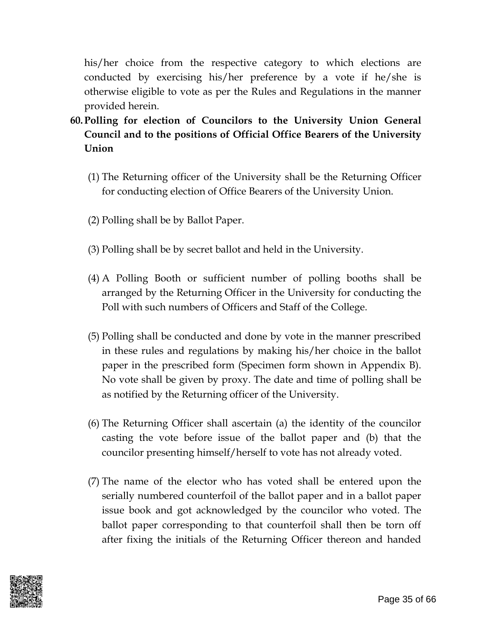his/her choice from the respective category to which elections are conducted by exercising his/her preference by a vote if he/she is otherwise eligible to vote as per the Rules and Regulations in the manner provided herein.

- **60.Polling for election of Councilors to the University Union General Council and to the positions of Official Office Bearers of the University Union**
	- (1) The Returning officer of the University shall be the Returning Officer for conducting election of Office Bearers of the University Union.
	- (2) Polling shall be by Ballot Paper.
	- (3) Polling shall be by secret ballot and held in the University.
	- (4) A Polling Booth or sufficient number of polling booths shall be arranged by the Returning Officer in the University for conducting the Poll with such numbers of Officers and Staff of the College.
	- (5) Polling shall be conducted and done by vote in the manner prescribed in these rules and regulations by making his/her choice in the ballot paper in the prescribed form (Specimen form shown in Appendix B). No vote shall be given by proxy. The date and time of polling shall be as notified by the Returning officer of the University.
	- (6) The Returning Officer shall ascertain (a) the identity of the councilor casting the vote before issue of the ballot paper and (b) that the councilor presenting himself/herself to vote has not already voted.
	- (7) The name of the elector who has voted shall be entered upon the serially numbered counterfoil of the ballot paper and in a ballot paper issue book and got acknowledged by the councilor who voted. The ballot paper corresponding to that counterfoil shall then be torn off after fixing the initials of the Returning Officer thereon and handed

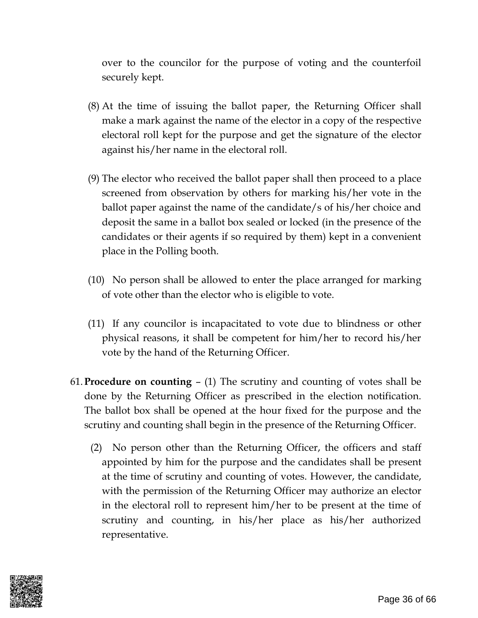over to the councilor for the purpose of voting and the counterfoil securely kept.

- (8) At the time of issuing the ballot paper, the Returning Officer shall make a mark against the name of the elector in a copy of the respective electoral roll kept for the purpose and get the signature of the elector against his/her name in the electoral roll.
- (9) The elector who received the ballot paper shall then proceed to a place screened from observation by others for marking his/her vote in the ballot paper against the name of the candidate/s of his/her choice and deposit the same in a ballot box sealed or locked (in the presence of the candidates or their agents if so required by them) kept in a convenient place in the Polling booth.
- (10) No person shall be allowed to enter the place arranged for marking of vote other than the elector who is eligible to vote.
- (11) If any councilor is incapacitated to vote due to blindness or other physical reasons, it shall be competent for him/her to record his/her vote by the hand of the Returning Officer.
- 61.**Procedure on counting**  (1) The scrutiny and counting of votes shall be done by the Returning Officer as prescribed in the election notification. The ballot box shall be opened at the hour fixed for the purpose and the scrutiny and counting shall begin in the presence of the Returning Officer.
	- (2) No person other than the Returning Officer, the officers and staff appointed by him for the purpose and the candidates shall be present at the time of scrutiny and counting of votes. However, the candidate, with the permission of the Returning Officer may authorize an elector in the electoral roll to represent him/her to be present at the time of scrutiny and counting, in his/her place as his/her authorized representative.

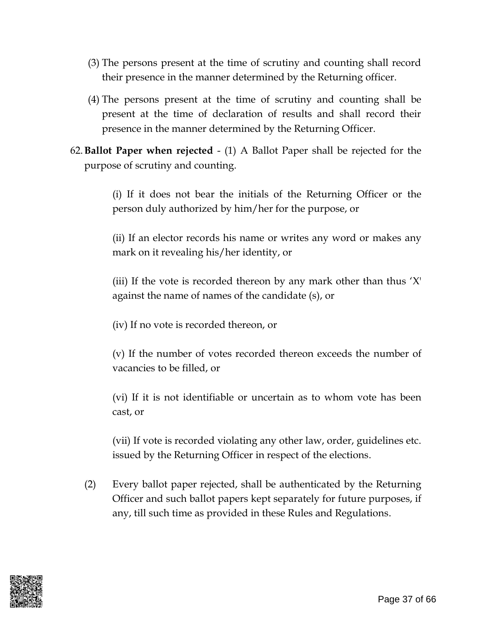- (3) The persons present at the time of scrutiny and counting shall record their presence in the manner determined by the Returning officer.
- (4) The persons present at the time of scrutiny and counting shall be present at the time of declaration of results and shall record their presence in the manner determined by the Returning Officer.
- 62.**Ballot Paper when rejected**  (1) A Ballot Paper shall be rejected for the purpose of scrutiny and counting.

(i) If it does not bear the initials of the Returning Officer or the person duly authorized by him/her for the purpose, or

(ii) If an elector records his name or writes any word or makes any mark on it revealing his/her identity, or

(iii) If the vote is recorded thereon by any mark other than thus  $'X'$ against the name of names of the candidate (s), or

(iv) If no vote is recorded thereon, or

(v) If the number of votes recorded thereon exceeds the number of vacancies to be filled, or

(vi) If it is not identifiable or uncertain as to whom vote has been cast, or

(vii) If vote is recorded violating any other law, order, guidelines etc. issued by the Returning Officer in respect of the elections.

(2) Every ballot paper rejected, shall be authenticated by the Returning Officer and such ballot papers kept separately for future purposes, if any, till such time as provided in these Rules and Regulations.

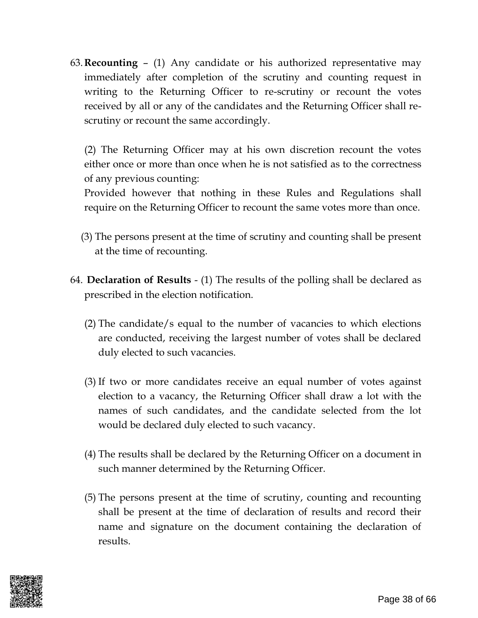63.**Recounting** – (1) Any candidate or his authorized representative may immediately after completion of the scrutiny and counting request in writing to the Returning Officer to re-scrutiny or recount the votes received by all or any of the candidates and the Returning Officer shall rescrutiny or recount the same accordingly.

(2) The Returning Officer may at his own discretion recount the votes either once or more than once when he is not satisfied as to the correctness of any previous counting:

Provided however that nothing in these Rules and Regulations shall require on the Returning Officer to recount the same votes more than once.

- (3) The persons present at the time of scrutiny and counting shall be present at the time of recounting.
- 64. **Declaration of Results**  (1) The results of the polling shall be declared as prescribed in the election notification.
	- (2) The candidate/s equal to the number of vacancies to which elections are conducted, receiving the largest number of votes shall be declared duly elected to such vacancies.
	- (3) If two or more candidates receive an equal number of votes against election to a vacancy, the Returning Officer shall draw a lot with the names of such candidates, and the candidate selected from the lot would be declared duly elected to such vacancy.
	- (4) The results shall be declared by the Returning Officer on a document in such manner determined by the Returning Officer.
	- (5) The persons present at the time of scrutiny, counting and recounting shall be present at the time of declaration of results and record their name and signature on the document containing the declaration of results.

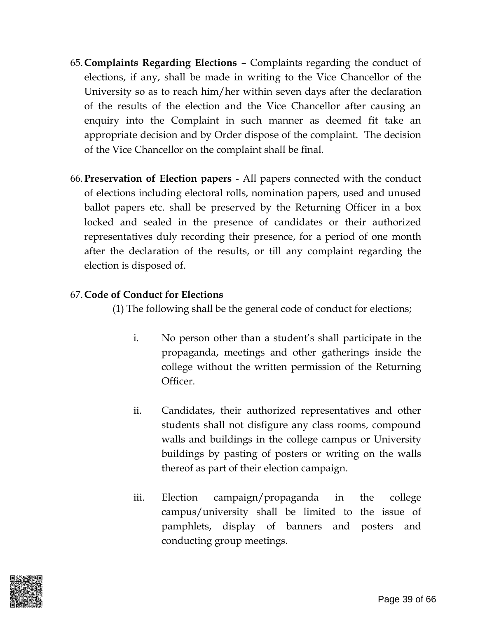- 65.**Complaints Regarding Elections**  Complaints regarding the conduct of elections, if any, shall be made in writing to the Vice Chancellor of the University so as to reach him/her within seven days after the declaration of the results of the election and the Vice Chancellor after causing an enquiry into the Complaint in such manner as deemed fit take an appropriate decision and by Order dispose of the complaint. The decision of the Vice Chancellor on the complaint shall be final.
- 66.**Preservation of Election papers** All papers connected with the conduct of elections including electoral rolls, nomination papers, used and unused ballot papers etc. shall be preserved by the Returning Officer in a box locked and sealed in the presence of candidates or their authorized representatives duly recording their presence, for a period of one month after the declaration of the results, or till any complaint regarding the election is disposed of.

#### 67.**Code of Conduct for Elections**

(1) The following shall be the general code of conduct for elections;

- i. No person other than a student's shall participate in the propaganda, meetings and other gatherings inside the college without the written permission of the Returning Officer.
- ii. Candidates, their authorized representatives and other students shall not disfigure any class rooms, compound walls and buildings in the college campus or University buildings by pasting of posters or writing on the walls thereof as part of their election campaign.
- iii. Election campaign/propaganda in the college campus/university shall be limited to the issue of pamphlets, display of banners and posters and conducting group meetings.

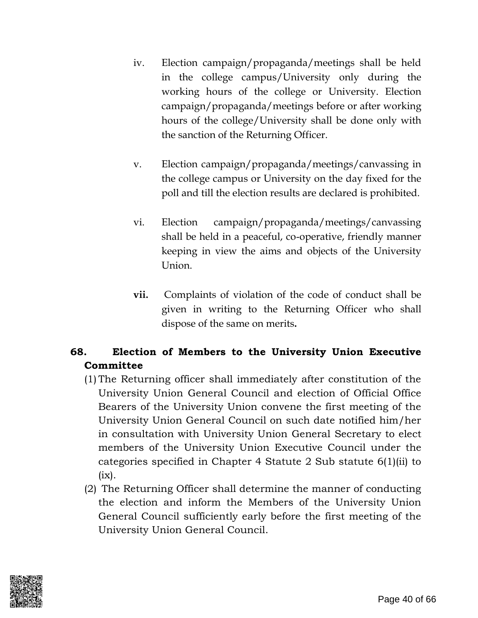- iv. Election campaign/propaganda/meetings shall be held in the college campus/University only during the working hours of the college or University. Election campaign/propaganda/meetings before or after working hours of the college/University shall be done only with the sanction of the Returning Officer.
- v. Election campaign/propaganda/meetings/canvassing in the college campus or University on the day fixed for the poll and till the election results are declared is prohibited.
- vi. Election campaign/propaganda/meetings/canvassing shall be held in a peaceful, co-operative, friendly manner keeping in view the aims and objects of the University Union.
- **vii.** Complaints of violation of the code of conduct shall be given in writing to the Returning Officer who shall dispose of the same on merits**.**

# **68. Election of Members to the University Union Executive Committee**

- (1) The Returning officer shall immediately after constitution of the University Union General Council and election of Official Office Bearers of the University Union convene the first meeting of the University Union General Council on such date notified him/her in consultation with University Union General Secretary to elect members of the University Union Executive Council under the categories specified in Chapter 4 Statute 2 Sub statute 6(1)(ii) to  $(ix).$
- (2) The Returning Officer shall determine the manner of conducting the election and inform the Members of the University Union General Council sufficiently early before the first meeting of the University Union General Council.

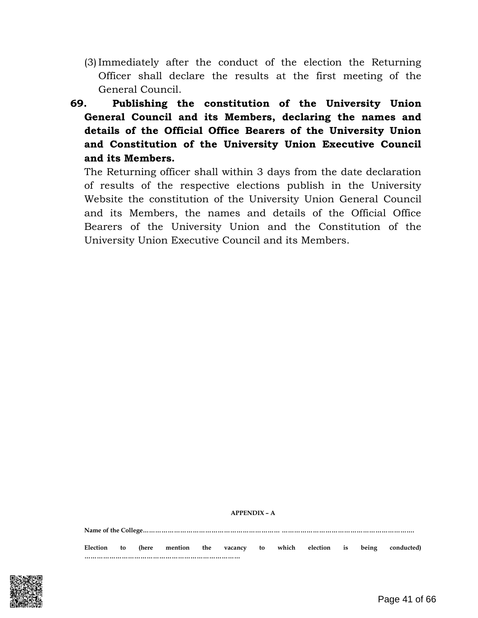- (3) Immediately after the conduct of the election the Returning Officer shall declare the results at the first meeting of the General Council.
- **69. Publishing the constitution of the University Union General Council and its Members, declaring the names and details of the Official Office Bearers of the University Union and Constitution of the University Union Executive Council and its Members.**

The Returning officer shall within 3 days from the date declaration of results of the respective elections publish in the University Website the constitution of the University Union General Council and its Members, the names and details of the Official Office Bearers of the University Union and the Constitution of the University Union Executive Council and its Members.

#### **APPENDIX – A**

**Name of the College………………………………………………………… ………………………………………………………. Election to (here mention the vacancy to which election is being conducted) …………………………………………………………………**

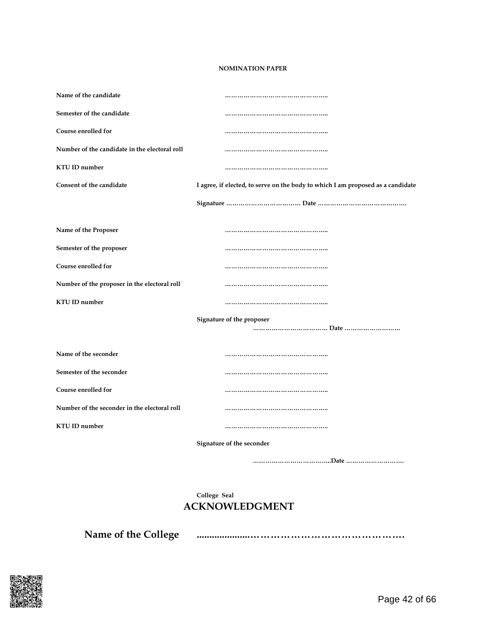#### **NOMINATION PAPER**

| Name of the candidate                         |                                                                                 |
|-----------------------------------------------|---------------------------------------------------------------------------------|
| Semester of the candidate                     |                                                                                 |
| Course enrolled for                           |                                                                                 |
| Number of the candidate in the electoral roll |                                                                                 |
| KTU ID number                                 |                                                                                 |
| Consent of the candidate                      | I agree, if elected, to serve on the body to which I am proposed as a candidate |
|                                               |                                                                                 |
| Name of the Proposer                          |                                                                                 |
| Semester of the proposer                      |                                                                                 |
| Course enrolled for                           |                                                                                 |
| Number of the proposer in the electoral roll  |                                                                                 |
| KTU ID number                                 |                                                                                 |
|                                               | Signature of the proposer                                                       |
|                                               |                                                                                 |
| Name of the seconder                          |                                                                                 |
| Semester of the seconder                      |                                                                                 |
| Course enrolled for                           |                                                                                 |
| Number of the seconder in the electoral roll  |                                                                                 |
| <b>KTU ID number</b>                          |                                                                                 |
|                                               | Signature of the seconder                                                       |
|                                               |                                                                                 |

**College Seal** 

#### **ACKNOWLEDGMENT**

**Name of the College .....................……………………………………….**

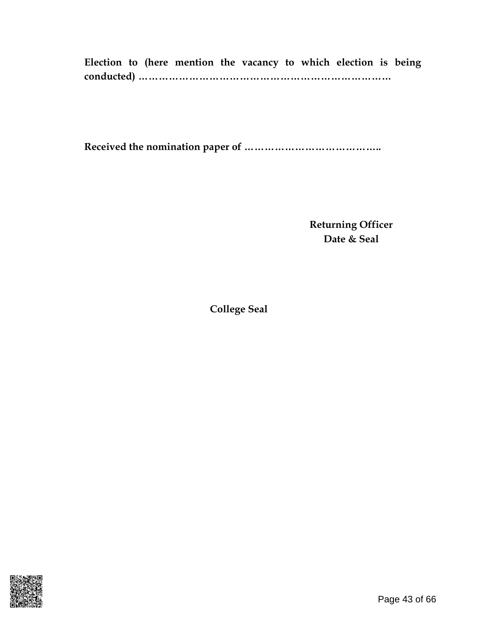**Election to (here mention the vacancy to which election is being conducted) …………………………………………………………………**

**Received the nomination paper of …………………………………..**

**Returning Officer Date & Seal**

**College Seal** 

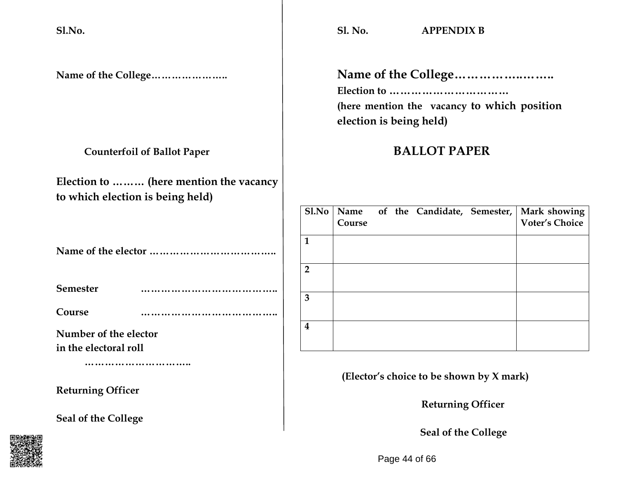# **Counterfoil of Ballot Paper BALLOT PAPER**

**Election to ……… (here mention the vacancy to which election is being held)**

**Name of the elector ………………………………..**

**Semester …………………………………..**

**Course …………………………………..**

**Number of the elector in the electoral roll**

**…………………………..**

**Returning Officer** 

**Seal of the College**

**Sl.No. Sl. No. APPENDIX B**

Name of the College………………………………………… Name of the College………………………

**Election to ……………………………**

**(here mention the vacancy to which position election is being held)**

| S1.No          | Course |  | Name of the Candidate, Semester, | Mark showing<br><b>Voter's Choice</b> |
|----------------|--------|--|----------------------------------|---------------------------------------|
| 1              |        |  |                                  |                                       |
| $\overline{2}$ |        |  |                                  |                                       |
| 3              |        |  |                                  |                                       |
| 4              |        |  |                                  |                                       |

**(Elector's choice to be shown by X mark)**

**Returning Officer**

**Seal of the College**

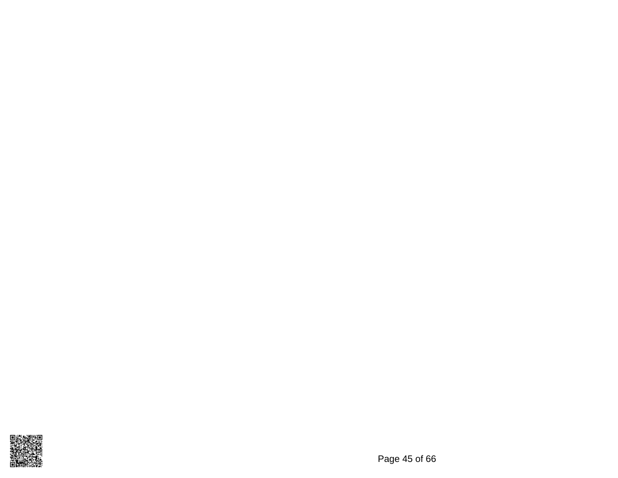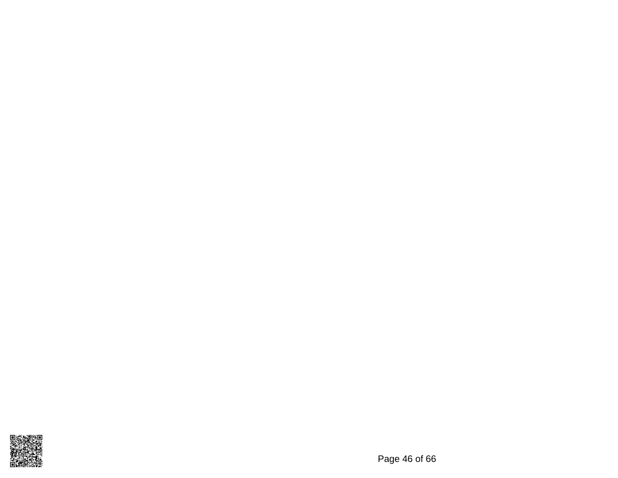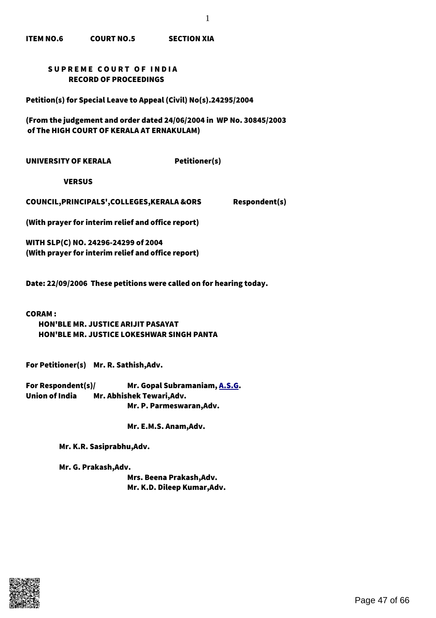ITEM NO.6 COURT NO.5 SECTION XIA

#### SUPREME COURT OF INDIA RECORD OF PROCEEDINGS

Petition(s) for Special Leave to Appeal (Civil) No(s).24295/2004

(From the judgement and order dated 24/06/2004 in WP No. 30845/2003 of The HIGH COURT OF KERALA AT ERNAKULAM)

UNIVERSITY OF KERALA Petitioner(s)

**VERSUS** 

COUNCIL,PRINCIPALS',COLLEGES,KERALA &ORS Respondent(s)

(With prayer for interim relief and office report)

WITH SLP(C) NO. 24296-24299 of 2004 (With prayer for interim relief and office report)

Date: 22/09/2006 These petitions were called on for hearing today.

CORAM : HON'BLE MR. JUSTICE ARIJIT PASAYAT HON'BLE MR. JUSTICE LOKESHWAR SINGH PANTA

For Petitioner(s) Mr. R. Sathish,Adv.

For Respondent(s)/ Mr. Gopal Subramaniam, A.S.G. Union of India Mr. Abhishek Tewari,Adv. Mr. P. Parmeswaran,Adv.

Mr. E.M.S. Anam,Adv.

Mr. K.R. Sasiprabhu,Adv.

Mr. G. Prakash,Adv.

Mrs. Beena Prakash,Adv. Mr. K.D. Dileep Kumar,Adv.

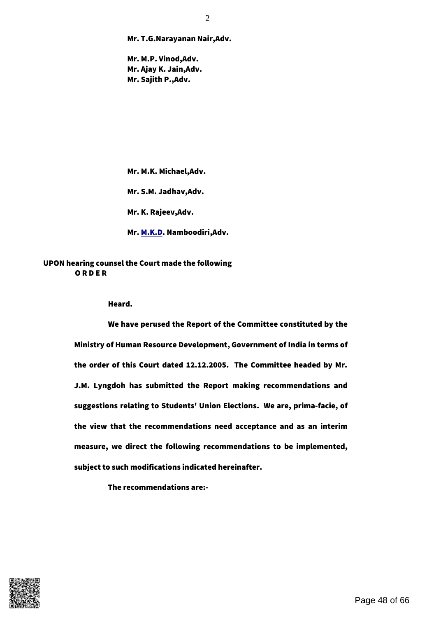Mr. T.G.Narayanan Nair,Adv.

2

Mr. M.P. Vinod,Adv. Mr. Ajay K. Jain,Adv. Mr. Sajith P.,Adv.

Mr. M.K. Michael,Adv. Mr. S.M. Jadhav,Adv. Mr. K. Rajeev,Adv. Mr. M.K.D. Namboodiri,Adv.

 UPON hearing counsel the Court made the following O R D E R

Heard.

We have perused the Report of the Committee constituted by the Ministry of Human Resource Development, Government of India in terms of the order of this Court dated 12.12.2005. The Committee headed by Mr. J.M. Lyngdoh has submitted the Report making recommendations and suggestions relating to Students' Union Elections. We are, prima-facie, of the view that the recommendations need acceptance and as an interim measure, we direct the following recommendations to be implemented, subject to such modifications indicated hereinafter.

The recommendations are:-

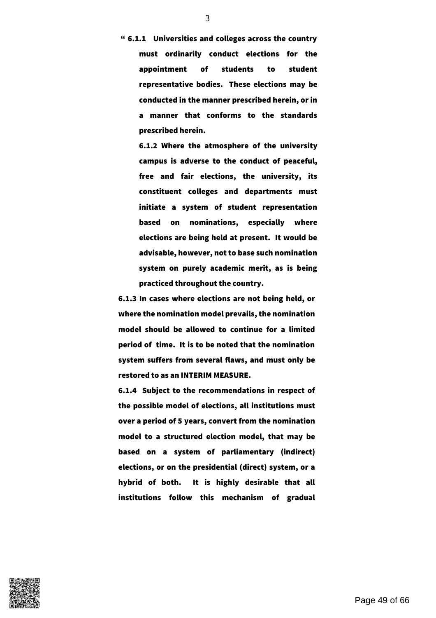" 6.1.1 Universities and colleges across the country must ordinarily conduct elections for the appointment of students to student representative bodies. These elections may be conducted in the manner prescribed herein, or in a manner that conforms to the standards prescribed herein.

6.1.2 Where the atmosphere of the university campus is adverse to the conduct of peaceful, free and fair elections, the university, its constituent colleges and departments must initiate a system of student representation based on nominations, especially where elections are being held at present. It would be advisable, however, not to base such nomination system on purely academic merit, as is being practiced throughout the country.

6.1.3 In cases where elections are not being held, or where the nomination model prevails, the nomination model should be allowed to continue for a limited period of time. It is to be noted that the nomination system suffers from several flaws, and must only be restored to as an INTERIM MEASURE.

6.1.4 Subject to the recommendations in respect of the possible model of elections, all institutions must over a period of 5 years, convert from the nomination model to a structured election model, that may be based on a system of parliamentary (indirect) elections, or on the presidential (direct) system, or a hybrid of both. It is highly desirable that all institutions follow this mechanism of gradual

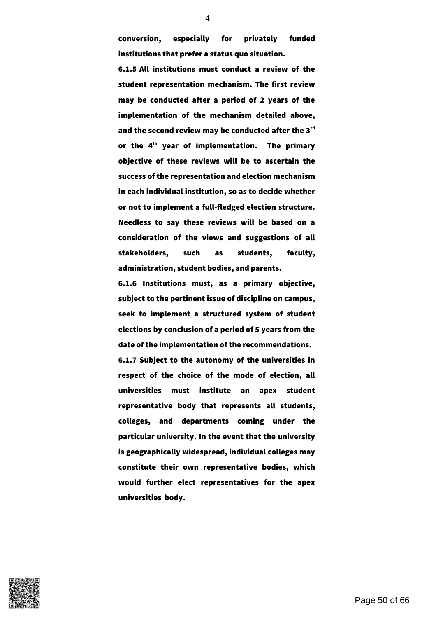conversion, especially for privately funded institutions that prefer a status quo situation.

6.1.5 All institutions must conduct a review of the student representation mechanism. The first review may be conducted after a period of 2 years of the implementation of the mechanism detailed above, and the second review may be conducted after the 3rd or the 4<sup>th</sup> vear of implementation. The primary objective of these reviews will be to ascertain the success of the representation and election mechanism in each individual institution, so as to decide whether or not to implement a full-fledged election structure. Needless to say these reviews will be based on a consideration of the views and suggestions of all stakeholders, such as students, faculty, administration, student bodies, and parents.

6.1.6 Institutions must, as a primary objective, subject to the pertinent issue of discipline on campus, seek to implement a structured system of student elections by conclusion of a period of 5 years from the date of the implementation of the recommendations. 6.1.7 Subject to the autonomy of the universities in respect of the choice of the mode of election, all universities must institute an apex student representative body that represents all students, colleges, and departments coming under the particular university. In the event that the university is geographically widespread, individual colleges may constitute their own representative bodies, which would further elect representatives for the apex universities body.



Page 50 of 66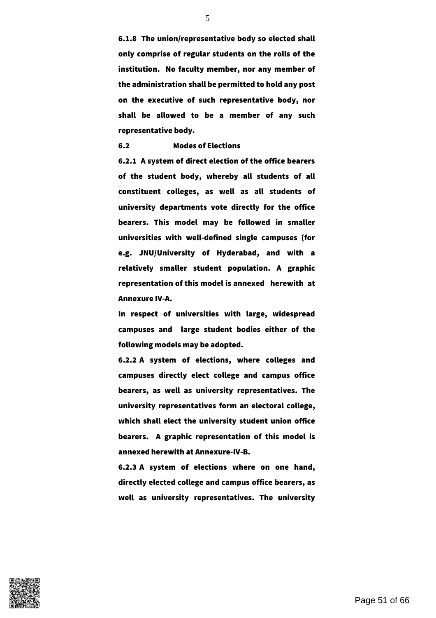6.1.8 The union/representative body so elected shall only comprise of regular students on the rolls of the institution. No faculty member, nor any member of the administration shall be permitted to hold any post on the executive of such representative body, nor shall be allowed to be a member of any such representative body.

#### 6.2 Modes of Elections

6.2.1 A system of direct election of the office bearers of the student body, whereby all students of all constituent colleges, as well as all students of university departments vote directly for the office bearers. This model may be followed in smaller universities with well-defined single campuses (for e.g. JNU/University of Hyderabad, and with a relatively smaller student population. A graphic representation of this model is annexed herewith at Annexure IV-A.

In respect of universities with large, widespread campuses and large student bodies either of the following models may be adopted.

6.2.2 A system of elections, where colleges and campuses directly elect college and campus office bearers, as well as university representatives. The university representatives form an electoral college, which shall elect the university student union office bearers. A graphic representation of this model is annexed herewith at Annexure-IV-B.

6.2.3 A system of elections where on one hand, directly elected college and campus office bearers, as well as university representatives. The university

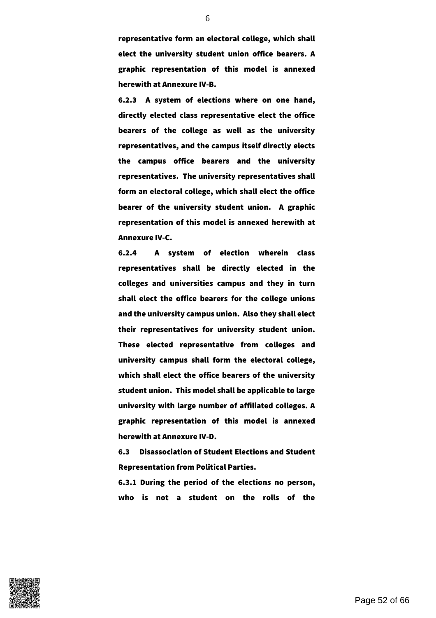representative form an electoral college, which shall elect the university student union office bearers. A graphic representation of this model is annexed herewith at Annexure IV-B.

6.2.3 A system of elections where on one hand, directly elected class representative elect the office bearers of the college as well as the university representatives, and the campus itself directly elects the campus office bearers and the university representatives. The university representatives shall form an electoral college, which shall elect the office bearer of the university student union. A graphic representation of this model is annexed herewith at Annexure IV-C.

6.2.4 A system of election wherein class representatives shall be directly elected in the colleges and universities campus and they in turn shall elect the office bearers for the college unions and the university campus union. Also they shall elect their representatives for university student union. These elected representative from colleges and university campus shall form the electoral college, which shall elect the office bearers of the university student union. This model shall be applicable to large university with large number of affiliated colleges. A graphic representation of this model is annexed herewith at Annexure IV-D.

6.3 Disassociation of Student Elections and Student Representation from Political Parties.

6.3.1 During the period of the elections no person, who is not a student on the rolls of the

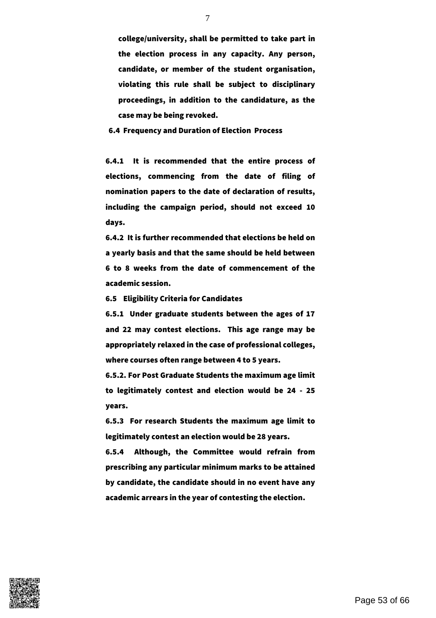college/university, shall be permitted to take part in the election process in any capacity. Any person, candidate, or member of the student organisation, violating this rule shall be subject to disciplinary proceedings, in addition to the candidature, as the case may be being revoked.

6.4 Frequency and Duration of Election Process

6.4.1 It is recommended that the entire process of elections, commencing from the date of filing of nomination papers to the date of declaration of results, including the campaign period, should not exceed 10 days.

6.4.2 It is further recommended that elections be held on a yearly basis and that the same should be held between 6 to 8 weeks from the date of commencement of the academic session.

6.5 Eligibility Criteria for Candidates

6.5.1 Under graduate students between the ages of 17 and 22 may contest elections. This age range may be appropriately relaxed in the case of professional colleges, where courses often range between 4 to 5 years.

6.5.2. For Post Graduate Students the maximum age limit to legitimately contest and election would be 24 - 25 years.

6.5.3 For research Students the maximum age limit to legitimately contest an election would be 28 years.

6.5.4 Although, the Committee would refrain from prescribing any particular minimum marks to be attained by candidate, the candidate should in no event have any academic arrears in the year of contesting the election.

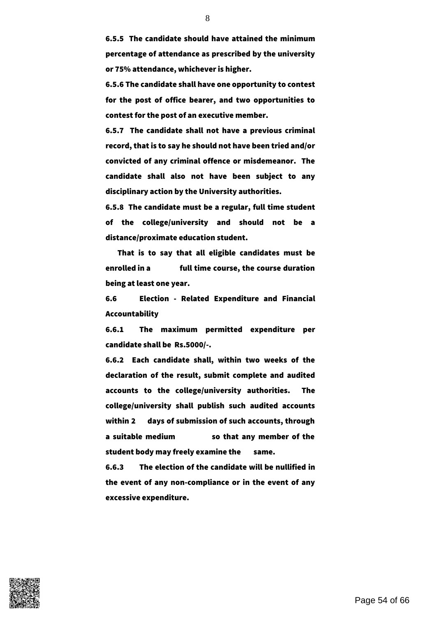6.5.5 The candidate should have attained the minimum percentage of attendance as prescribed by the university or 75% attendance, whichever is higher.

6.5.6 The candidate shall have one opportunity to contest for the post of office bearer, and two opportunities to contest for the post of an executive member.

6.5.7 The candidate shall not have a previous criminal record, that is to say he should not have been tried and/or convicted of any criminal offence or misdemeanor. The candidate shall also not have been subject to any disciplinary action by the University authorities.

6.5.8 The candidate must be a regular, full time student of the college/university and should not be a distance/proximate education student.

That is to say that all eligible candidates must be enrolled in a full time course, the course duration being at least one year.

6.6 Election - Related Expenditure and Financial Accountability

6.6.1 The maximum permitted expenditure per candidate shall be Rs.5000/-.

6.6.2 Each candidate shall, within two weeks of the declaration of the result, submit complete and audited accounts to the college/university authorities. The college/university shall publish such audited accounts within 2 days of submission of such accounts, through a suitable medium so that any member of the student body may freely examine the same.

6.6.3 The election of the candidate will be nullified in the event of any non-compliance or in the event of any excessive expenditure.



Page 54 of 66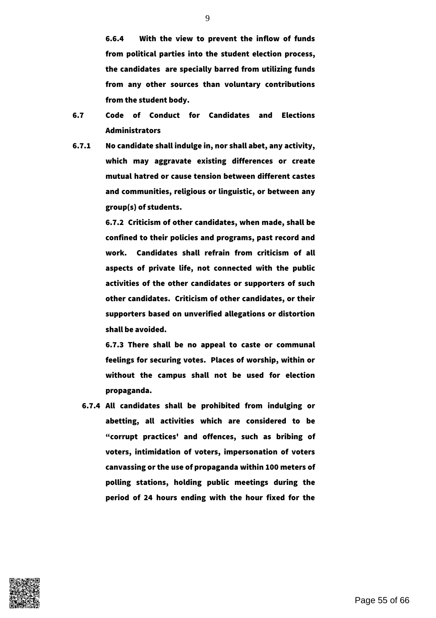6.6.4 With the view to prevent the inflow of funds from political parties into the student election process, the candidates are specially barred from utilizing funds from any other sources than voluntary contributions from the student body.

- 6.7 Code of Conduct for Candidates and Elections Administrators
- 6.7.1 No candidate shall indulge in, nor shall abet, any activity, which may aggravate existing differences or create mutual hatred or cause tension between different castes and communities, religious or linguistic, or between any group(s) of students.

6.7.2 Criticism of other candidates, when made, shall be confined to their policies and programs, past record and work. Candidates shall refrain from criticism of all aspects of private life, not connected with the public activities of the other candidates or supporters of such other candidates. Criticism of other candidates, or their supporters based on unverified allegations or distortion shall be avoided.

6.7.3 There shall be no appeal to caste or communal feelings for securing votes. Places of worship, within or without the campus shall not be used for election propaganda.

 6.7.4 All candidates shall be prohibited from indulging or abetting, all activities which are considered to be "corrupt practices' and offences, such as bribing of voters, intimidation of voters, impersonation of voters canvassing or the use of propaganda within 100 meters of polling stations, holding public meetings during the period of 24 hours ending with the hour fixed for the

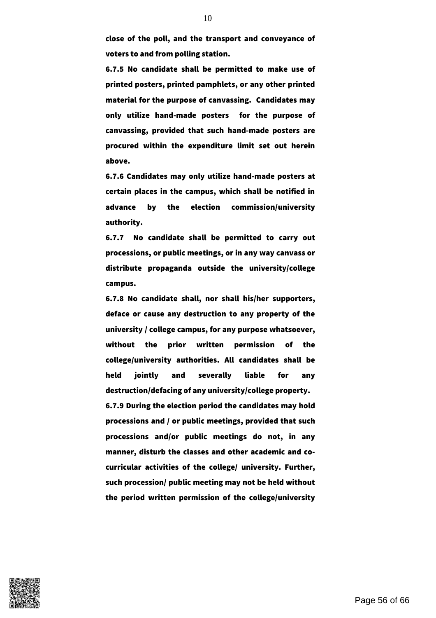close of the poll, and the transport and conveyance of voters to and from polling station.

6.7.5 No candidate shall be permitted to make use of printed posters, printed pamphlets, or any other printed material for the purpose of canvassing. Candidates may only utilize hand-made posters for the purpose of canvassing, provided that such hand-made posters are procured within the expenditure limit set out herein above.

6.7.6 Candidates may only utilize hand-made posters at certain places in the campus, which shall be notified in advance by the election commission/university authority.

6.7.7 No candidate shall be permitted to carry out processions, or public meetings, or in any way canvass or distribute propaganda outside the university/college campus.

6.7.8 No candidate shall, nor shall his/her supporters, deface or cause any destruction to any property of the university / college campus, for any purpose whatsoever, without the prior written permission of the college/university authorities. All candidates shall be held jointly and severally liable for any destruction/defacing of any university/college property. 6.7.9 During the election period the candidates may hold

processions and / or public meetings, provided that such processions and/or public meetings do not, in any manner, disturb the classes and other academic and cocurricular activities of the college/ university. Further, such procession/ public meeting may not be held without the period written permission of the college/university

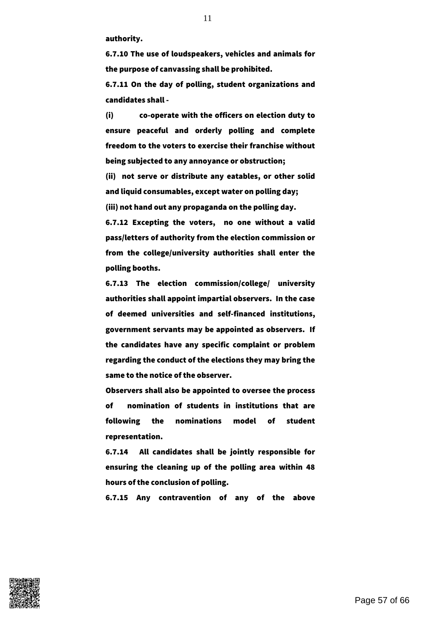authority.

6.7.10 The use of loudspeakers, vehicles and animals for the purpose of canvassing shall be prohibited.

6.7.11 On the day of polling, student organizations and candidates shall -

(i) co-operate with the officers on election duty to ensure peaceful and orderly polling and complete freedom to the voters to exercise their franchise without being subjected to any annoyance or obstruction;

(ii) not serve or distribute any eatables, or other solid and liquid consumables, except water on polling day; (iii) not hand out any propaganda on the polling day.

6.7.12 Excepting the voters, no one without a valid pass/letters of authority from the election commission or from the college/university authorities shall enter the polling booths.

6.7.13 The election commission/college/ university authorities shall appoint impartial observers. In the case of deemed universities and self-financed institutions, government servants may be appointed as observers. If the candidates have any specific complaint or problem regarding the conduct of the elections they may bring the same to the notice of the observer.

 Observers shall also be appointed to oversee the process of nomination of students in institutions that are following the nominations model of student representation.

6.7.14 All candidates shall be jointly responsible for ensuring the cleaning up of the polling area within 48 hours of the conclusion of polling.

6.7.15 Any contravention of any of the above



Page 57 of 66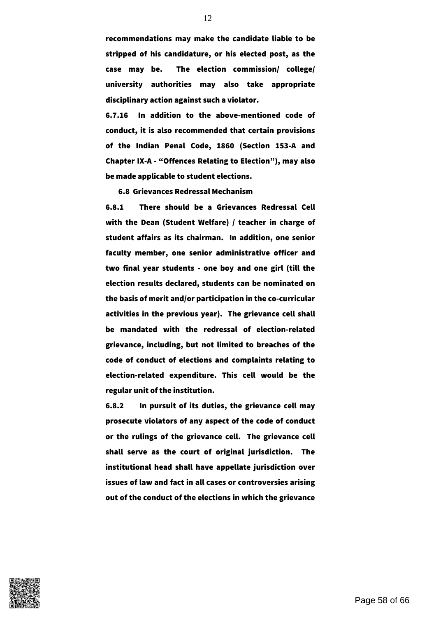recommendations may make the candidate liable to be stripped of his candidature, or his elected post, as the case may be. The election commission/ college/ university authorities may also take appropriate disciplinary action against such a violator.

6.7.16 In addition to the above-mentioned code of conduct, it is also recommended that certain provisions of the Indian Penal Code, 1860 (Section 153-A and Chapter IX-A - "Offences Relating to Election"), may also be made applicable to student elections.

6.8 Grievances Redressal Mechanism

6.8.1 There should be a Grievances Redressal Cell with the Dean (Student Welfare) / teacher in charge of student affairs as its chairman. In addition, one senior faculty member, one senior administrative officer and two final year students - one boy and one girl (till the election results declared, students can be nominated on the basis of merit and/or participation in the co-curricular activities in the previous year). The grievance cell shall be mandated with the redressal of election-related grievance, including, but not limited to breaches of the code of conduct of elections and complaints relating to election-related expenditure. This cell would be the regular unit of the institution.

6.8.2 In pursuit of its duties, the grievance cell may prosecute violators of any aspect of the code of conduct or the rulings of the grievance cell. The grievance cell shall serve as the court of original jurisdiction. The institutional head shall have appellate jurisdiction over issues of law and fact in all cases or controversies arising out of the conduct of the elections in which the grievance

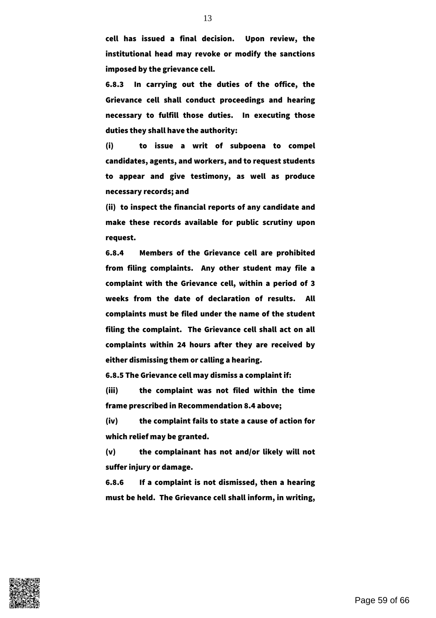cell has issued a final decision. Upon review, the institutional head may revoke or modify the sanctions imposed by the grievance cell.

13

6.8.3 In carrying out the duties of the office, the Grievance cell shall conduct proceedings and hearing necessary to fulfill those duties. In executing those duties they shall have the authority:

(i) to issue a writ of subpoena to compel candidates, agents, and workers, and to request students to appear and give testimony, as well as produce necessary records; and

(ii) to inspect the financial reports of any candidate and make these records available for public scrutiny upon request.

6.8.4 Members of the Grievance cell are prohibited from filing complaints. Any other student may file a complaint with the Grievance cell, within a period of 3 weeks from the date of declaration of results. All complaints must be filed under the name of the student filing the complaint. The Grievance cell shall act on all complaints within 24 hours after they are received by either dismissing them or calling a hearing.

6.8.5 The Grievance cell may dismiss a complaint if:

(iii) the complaint was not filed within the time frame prescribed in Recommendation 8.4 above;

(iv) the complaint fails to state a cause of action for which relief may be granted.

(v) the complainant has not and/or likely will not suffer injury or damage.

6.8.6 If a complaint is not dismissed, then a hearing must be held. The Grievance cell shall inform, in writing,

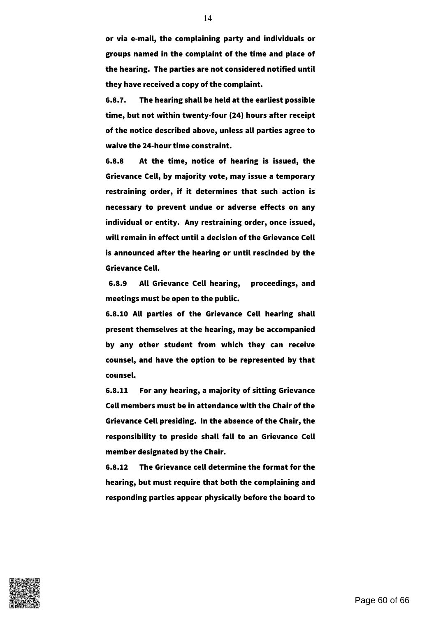or via e-mail, the complaining party and individuals or groups named in the complaint of the time and place of the hearing. The parties are not considered notified until they have received a copy of the complaint.

6.8.7. The hearing shall be held at the earliest possible time, but not within twenty-four (24) hours after receipt of the notice described above, unless all parties agree to waive the 24-hour time constraint.

6.8.8 At the time, notice of hearing is issued, the Grievance Cell, by majority vote, may issue a temporary restraining order, if it determines that such action is necessary to prevent undue or adverse effects on any individual or entity. Any restraining order, once issued, will remain in effect until a decision of the Grievance Cell is announced after the hearing or until rescinded by the Grievance Cell.

 6.8.9 All Grievance Cell hearing, proceedings, and meetings must be open to the public.

6.8.10 All parties of the Grievance Cell hearing shall present themselves at the hearing, may be accompanied by any other student from which they can receive counsel, and have the option to be represented by that counsel.

6.8.11 For any hearing, a majority of sitting Grievance Cell members must be in attendance with the Chair of the Grievance Cell presiding. In the absence of the Chair, the responsibility to preside shall fall to an Grievance Cell member designated by the Chair.

6.8.12 The Grievance cell determine the format for the hearing, but must require that both the complaining and responding parties appear physically before the board to

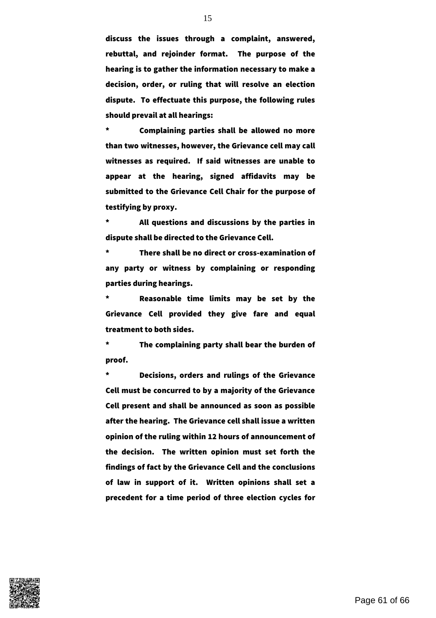discuss the issues through a complaint, answered, rebuttal, and rejoinder format. The purpose of the hearing is to gather the information necessary to make a decision, order, or ruling that will resolve an election dispute. To effectuate this purpose, the following rules should prevail at all hearings:

\* Complaining parties shall be allowed no more than two witnesses, however, the Grievance cell may call witnesses as required. If said witnesses are unable to appear at the hearing, signed affidavits may be submitted to the Grievance Cell Chair for the purpose of testifying by proxy.

\* All questions and discussions by the parties in dispute shall be directed to the Grievance Cell.

There shall be no direct or cross-examination of any party or witness by complaining or responding parties during hearings.

Reasonable time limits may be set by the Grievance Cell provided they give fare and equal treatment to both sides.

The complaining party shall bear the burden of proof.

Decisions, orders and rulings of the Grievance Cell must be concurred to by a majority of the Grievance Cell present and shall be announced as soon as possible after the hearing. The Grievance cell shall issue a written opinion of the ruling within 12 hours of announcement of the decision. The written opinion must set forth the findings of fact by the Grievance Cell and the conclusions of law in support of it. Written opinions shall set a precedent for a time period of three election cycles for

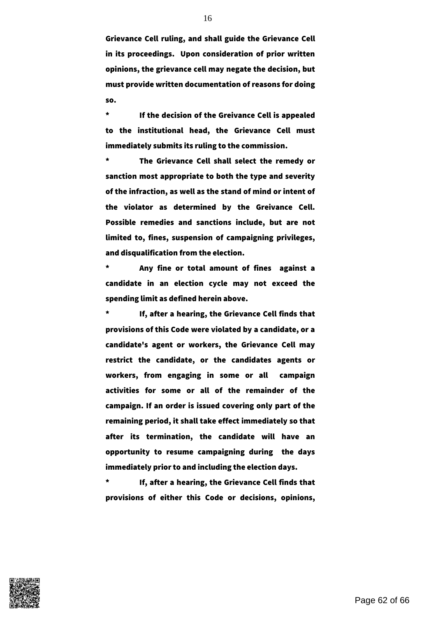Grievance Cell ruling, and shall guide the Grievance Cell in its proceedings. Upon consideration of prior written opinions, the grievance cell may negate the decision, but must provide written documentation of reasons for doing so.

\* If the decision of the Greivance Cell is appealed to the institutional head, the Grievance Cell must immediately submits its ruling to the commission.

The Grievance Cell shall select the remedy or sanction most appropriate to both the type and severity of the infraction, as well as the stand of mind or intent of the violator as determined by the Greivance Cell. Possible remedies and sanctions include, but are not limited to, fines, suspension of campaigning privileges, and disqualification from the election.

Any fine or total amount of fines against a candidate in an election cycle may not exceed the spending limit as defined herein above.

If, after a hearing, the Grievance Cell finds that provisions of this Code were violated by a candidate, or a candidate's agent or workers, the Grievance Cell may restrict the candidate, or the candidates agents or workers, from engaging in some or all campaign activities for some or all of the remainder of the campaign. If an order is issued covering only part of the remaining period, it shall take effect immediately so that after its termination, the candidate will have an opportunity to resume campaigning during the days immediately prior to and including the election days.

If, after a hearing, the Grievance Cell finds that provisions of either this Code or decisions, opinions,

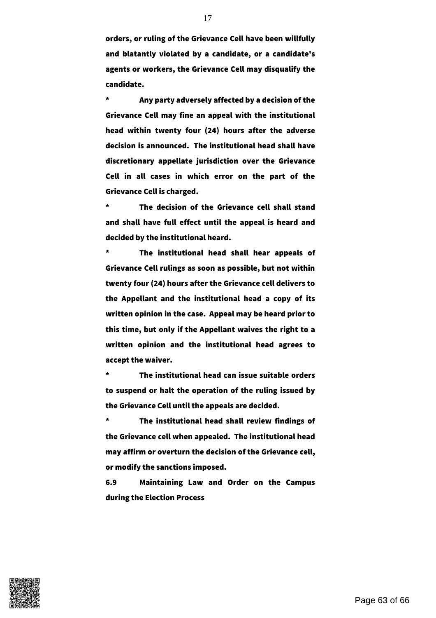orders, or ruling of the Grievance Cell have been willfully and blatantly violated by a candidate, or a candidate's agents or workers, the Grievance Cell may disqualify the candidate.

Any party adversely affected by a decision of the Grievance Cell may fine an appeal with the institutional head within twenty four (24) hours after the adverse decision is announced. The institutional head shall have discretionary appellate jurisdiction over the Grievance Cell in all cases in which error on the part of the Grievance Cell is charged.

The decision of the Grievance cell shall stand and shall have full effect until the appeal is heard and decided by the institutional heard.

The institutional head shall hear appeals of Grievance Cell rulings as soon as possible, but not within twenty four (24) hours after the Grievance cell delivers to the Appellant and the institutional head a copy of its written opinion in the case. Appeal may be heard prior to this time, but only if the Appellant waives the right to a written opinion and the institutional head agrees to accept the waiver.

The institutional head can issue suitable orders to suspend or halt the operation of the ruling issued by the Grievance Cell until the appeals are decided.

The institutional head shall review findings of the Grievance cell when appealed. The institutional head may affirm or overturn the decision of the Grievance cell, or modify the sanctions imposed.

6.9 Maintaining Law and Order on the Campus during the Election Process

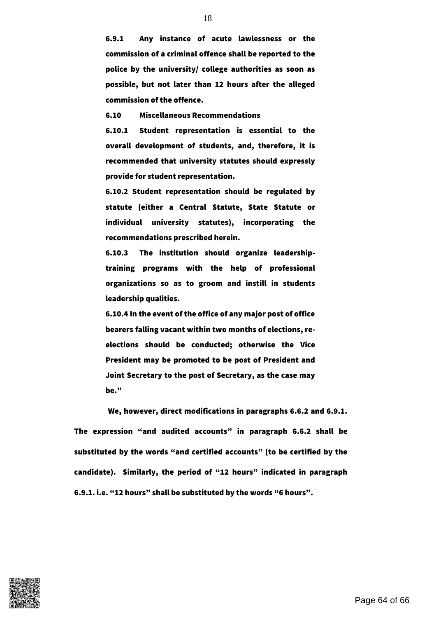6.9.1 Any instance of acute lawlessness or the commission of a criminal offence shall be reported to the police by the university/ college authorities as soon as possible, but not later than 12 hours after the alleged commission of the offence.

6.10 Miscellaneous Recommendations

6.10.1 Student representation is essential to the overall development of students, and, therefore, it is recommended that university statutes should expressly provide for student representation.

6.10.2 Student representation should be regulated by statute (either a Central Statute, State Statute or individual university statutes), incorporating the recommendations prescribed herein.

6.10.3 The institution should organize leadershiptraining programs with the help of professional organizations so as to groom and instill in students leadership qualities.

6.10.4 In the event of the office of any major post of office bearers falling vacant within two months of elections, reelections should be conducted; otherwise the Vice President may be promoted to be post of President and Joint Secretary to the post of Secretary, as the case may be."

We, however, direct modifications in paragraphs 6.6.2 and 6.9.1. The expression "and audited accounts" in paragraph 6.6.2 shall be substituted by the words "and certified accounts" (to be certified by the candidate). Similarly, the period of "12 hours" indicated in paragraph 6.9.1. i.e. "12 hours" shall be substituted by the words "6 hours".

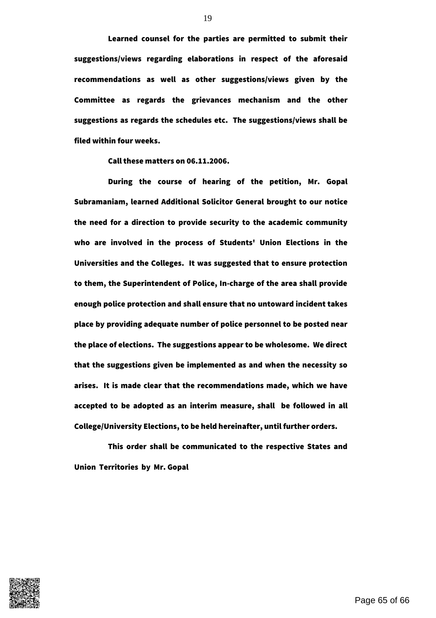Learned counsel for the parties are permitted to submit their suggestions/views regarding elaborations in respect of the aforesaid recommendations as well as other suggestions/views given by the Committee as regards the grievances mechanism and the other suggestions as regards the schedules etc. The suggestions/views shall be filed within four weeks.

Call these matters on 06.11.2006.

During the course of hearing of the petition, Mr. Gopal Subramaniam, learned Additional Solicitor General brought to our notice the need for a direction to provide security to the academic community who are involved in the process of Students' Union Elections in the Universities and the Colleges. It was suggested that to ensure protection to them, the Superintendent of Police, In-charge of the area shall provide enough police protection and shall ensure that no untoward incident takes place by providing adequate number of police personnel to be posted near the place of elections. The suggestions appear to be wholesome. We direct that the suggestions given be implemented as and when the necessity so arises. It is made clear that the recommendations made, which we have accepted to be adopted as an interim measure, shall be followed in all College/University Elections, to be held hereinafter, until further orders.

This order shall be communicated to the respective States and Union Territories by Mr. Gopal